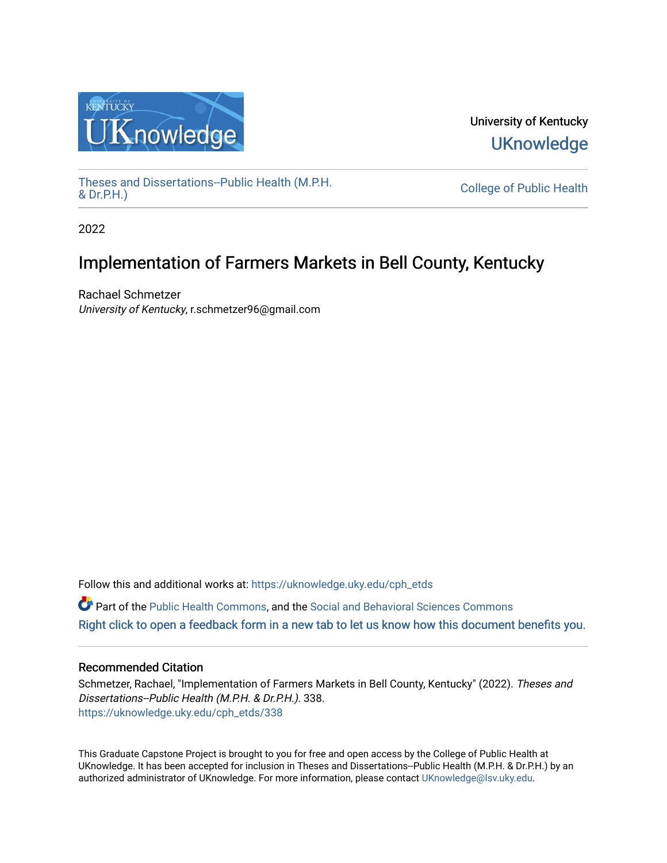

University of Kentucky **UKnowledge** 

[Theses and Dissertations--Public Health \(M.P.H.](https://uknowledge.uky.edu/cph_etds) & Dr.P.H.)

College of Public Health

2022

# Implementation of Farmers Markets in Bell County, Kentucky

Rachael Schmetzer University of Kentucky, r.schmetzer96@gmail.com

Follow this and additional works at: [https://uknowledge.uky.edu/cph\\_etds](https://uknowledge.uky.edu/cph_etds?utm_source=uknowledge.uky.edu%2Fcph_etds%2F338&utm_medium=PDF&utm_campaign=PDFCoverPages) 

 $\bullet$  Part of the [Public Health Commons,](http://network.bepress.com/hgg/discipline/738?utm_source=uknowledge.uky.edu%2Fcph_etds%2F338&utm_medium=PDF&utm_campaign=PDFCoverPages) and the [Social and Behavioral Sciences Commons](http://network.bepress.com/hgg/discipline/316?utm_source=uknowledge.uky.edu%2Fcph_etds%2F338&utm_medium=PDF&utm_campaign=PDFCoverPages) [Right click to open a feedback form in a new tab to let us know how this document benefits you.](https://uky.az1.qualtrics.com/jfe/form/SV_9mq8fx2GnONRfz7)

# Recommended Citation

Schmetzer, Rachael, "Implementation of Farmers Markets in Bell County, Kentucky" (2022). Theses and Dissertations--Public Health (M.P.H. & Dr.P.H.). 338. [https://uknowledge.uky.edu/cph\\_etds/338](https://uknowledge.uky.edu/cph_etds/338?utm_source=uknowledge.uky.edu%2Fcph_etds%2F338&utm_medium=PDF&utm_campaign=PDFCoverPages) 

This Graduate Capstone Project is brought to you for free and open access by the College of Public Health at UKnowledge. It has been accepted for inclusion in Theses and Dissertations--Public Health (M.P.H. & Dr.P.H.) by an authorized administrator of UKnowledge. For more information, please contact [UKnowledge@lsv.uky.edu](mailto:UKnowledge@lsv.uky.edu).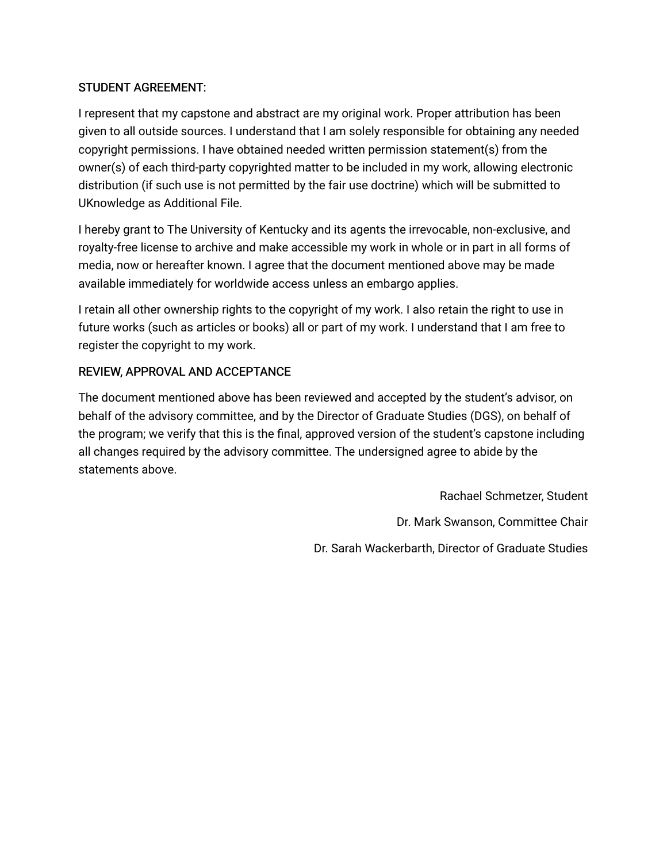# STUDENT AGREEMENT:

I represent that my capstone and abstract are my original work. Proper attribution has been given to all outside sources. I understand that I am solely responsible for obtaining any needed copyright permissions. I have obtained needed written permission statement(s) from the owner(s) of each third-party copyrighted matter to be included in my work, allowing electronic distribution (if such use is not permitted by the fair use doctrine) which will be submitted to UKnowledge as Additional File.

I hereby grant to The University of Kentucky and its agents the irrevocable, non-exclusive, and royalty-free license to archive and make accessible my work in whole or in part in all forms of media, now or hereafter known. I agree that the document mentioned above may be made available immediately for worldwide access unless an embargo applies.

I retain all other ownership rights to the copyright of my work. I also retain the right to use in future works (such as articles or books) all or part of my work. I understand that I am free to register the copyright to my work.

# REVIEW, APPROVAL AND ACCEPTANCE

The document mentioned above has been reviewed and accepted by the student's advisor, on behalf of the advisory committee, and by the Director of Graduate Studies (DGS), on behalf of the program; we verify that this is the final, approved version of the student's capstone including all changes required by the advisory committee. The undersigned agree to abide by the statements above.

> Rachael Schmetzer, Student Dr. Mark Swanson, Committee Chair Dr. Sarah Wackerbarth, Director of Graduate Studies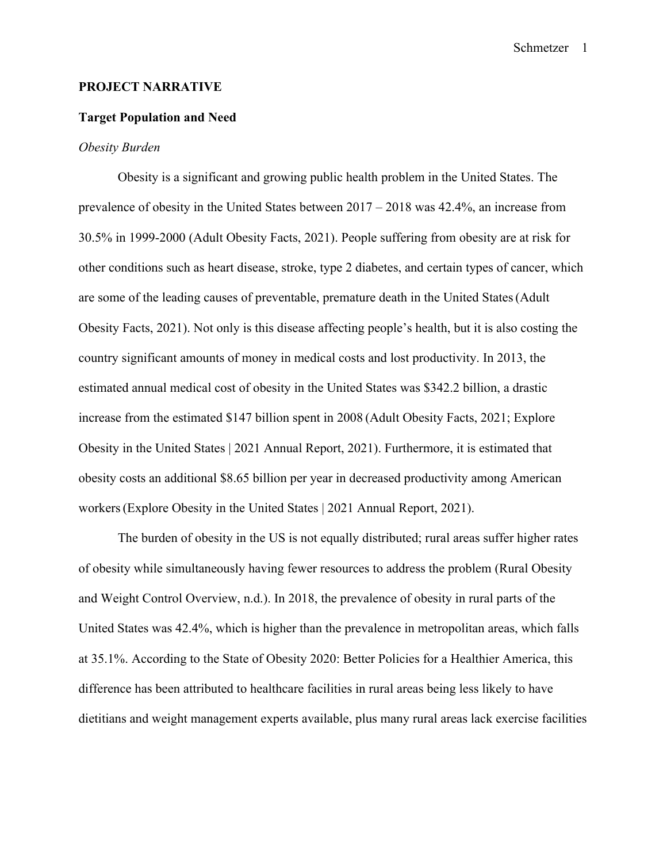#### **PROJECT NARRATIVE**

#### **Target Population and Need**

#### *Obesity Burden*

Obesity is a significant and growing public health problem in the United States. The prevalence of obesity in the United States between 2017 – 2018 was 42.4%, an increase from 30.5% in 1999-2000 (Adult Obesity Facts, 2021). People suffering from obesity are at risk for other conditions such as heart disease, stroke, type 2 diabetes, and certain types of cancer, which are some of the leading causes of preventable, premature death in the United States(Adult Obesity Facts, 2021). Not only is this disease affecting people's health, but it is also costing the country significant amounts of money in medical costs and lost productivity. In 2013, the estimated annual medical cost of obesity in the United States was \$342.2 billion, a drastic increase from the estimated \$147 billion spent in 2008 (Adult Obesity Facts, 2021; Explore Obesity in the United States | 2021 Annual Report, 2021). Furthermore, it is estimated that obesity costs an additional \$8.65 billion per year in decreased productivity among American workers(Explore Obesity in the United States | 2021 Annual Report, 2021).

The burden of obesity in the US is not equally distributed; rural areas suffer higher rates of obesity while simultaneously having fewer resources to address the problem (Rural Obesity and Weight Control Overview, n.d.). In 2018, the prevalence of obesity in rural parts of the United States was 42.4%, which is higher than the prevalence in metropolitan areas, which falls at 35.1%. According to the State of Obesity 2020: Better Policies for a Healthier America, this difference has been attributed to healthcare facilities in rural areas being less likely to have dietitians and weight management experts available, plus many rural areas lack exercise facilities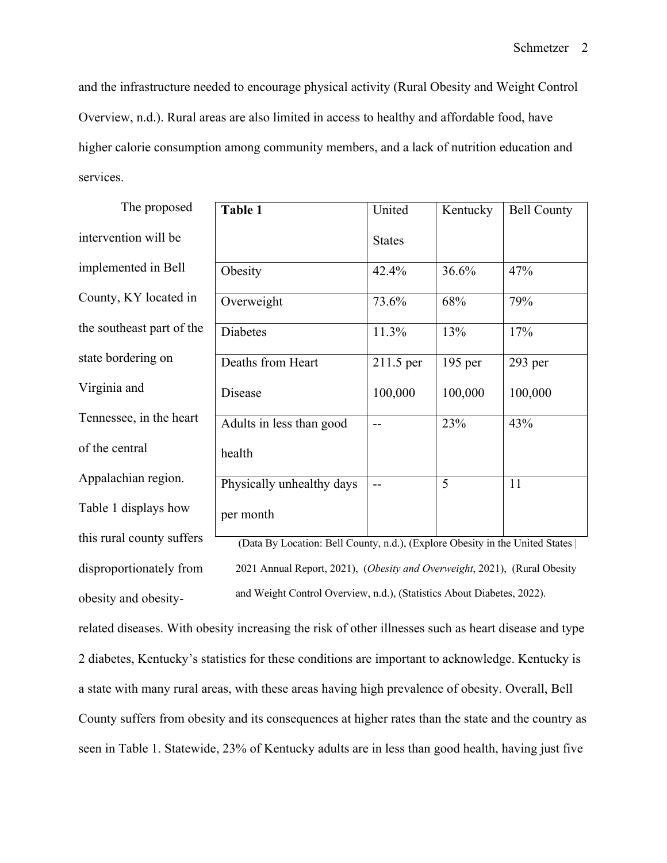and the infrastructure needed to encourage physical activity (Rural Obesity and Weight Control Overview, n.d.). Rural areas are also limited in access to healthy and affordable food, have higher calorie consumption among community members, and a lack of nutrition education and services.

| The proposed              | Table 1                                                                      | United        | Kentucky  | <b>Bell County</b> |  |  |
|---------------------------|------------------------------------------------------------------------------|---------------|-----------|--------------------|--|--|
| intervention will be      |                                                                              | <b>States</b> |           |                    |  |  |
| implemented in Bell       | Obesity                                                                      | 42.4%         | 36.6%     | 47%                |  |  |
| County, KY located in     | Overweight                                                                   | 73.6%         | 68%       | 79%                |  |  |
| the southeast part of the | Diabetes                                                                     | 11.3%         | 13%       | 17%                |  |  |
| state bordering on        | Deaths from Heart                                                            | 211.5 per     | $195$ per | 293 per            |  |  |
| Virginia and              | Disease                                                                      | 100,000       | 100,000   | 100,000            |  |  |
| Tennessee, in the heart   | Adults in less than good                                                     |               | 23%       | 43%                |  |  |
| of the central            | health                                                                       |               |           |                    |  |  |
| Appalachian region.       | Physically unhealthy days                                                    |               | 5         | 11                 |  |  |
| Table 1 displays how      | per month                                                                    |               |           |                    |  |  |
| this rural county suffers | (Data By Location: Bell County, n.d.), (Explore Obesity in the United States |               |           |                    |  |  |

2021 Annual Report, 2021), (*Obesity and Overweight*, 2021), (Rural Obesity and Weight Control Overview, n.d.), (Statistics About Diabetes, 2022).

related diseases. With obesity increasing the risk of other illnesses such as heart disease and type 2 diabetes, Kentucky's statistics for these conditions are important to acknowledge. Kentucky is a state with many rural areas, with these areas having high prevalence of obesity. Overall, Bell County suffers from obesity and its consequences at higher rates than the state and the country as seen in Table 1. Statewide, 23% of Kentucky adults are in less than good health, having just five

disproportionately from

obesity and obesity-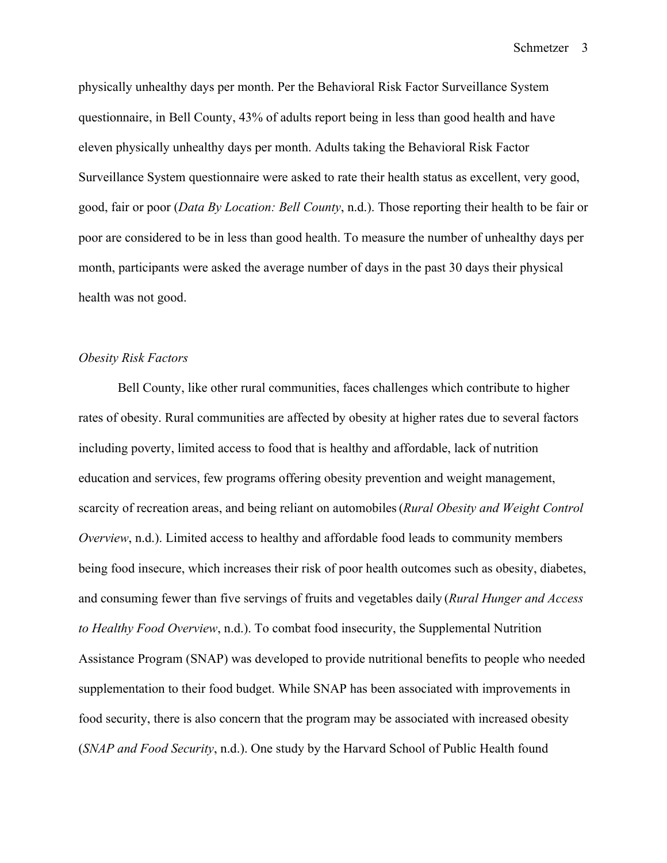physically unhealthy days per month. Per the Behavioral Risk Factor Surveillance System questionnaire, in Bell County, 43% of adults report being in less than good health and have eleven physically unhealthy days per month. Adults taking the Behavioral Risk Factor Surveillance System questionnaire were asked to rate their health status as excellent, very good, good, fair or poor (*Data By Location: Bell County*, n.d.). Those reporting their health to be fair or poor are considered to be in less than good health. To measure the number of unhealthy days per month, participants were asked the average number of days in the past 30 days their physical health was not good.

### *Obesity Risk Factors*

Bell County, like other rural communities, faces challenges which contribute to higher rates of obesity. Rural communities are affected by obesity at higher rates due to several factors including poverty, limited access to food that is healthy and affordable, lack of nutrition education and services, few programs offering obesity prevention and weight management, scarcity of recreation areas, and being reliant on automobiles(*Rural Obesity and Weight Control Overview*, n.d.). Limited access to healthy and affordable food leads to community members being food insecure, which increases their risk of poor health outcomes such as obesity, diabetes, and consuming fewer than five servings of fruits and vegetables daily (*Rural Hunger and Access to Healthy Food Overview*, n.d.). To combat food insecurity, the Supplemental Nutrition Assistance Program (SNAP) was developed to provide nutritional benefits to people who needed supplementation to their food budget. While SNAP has been associated with improvements in food security, there is also concern that the program may be associated with increased obesity (*SNAP and Food Security*, n.d.). One study by the Harvard School of Public Health found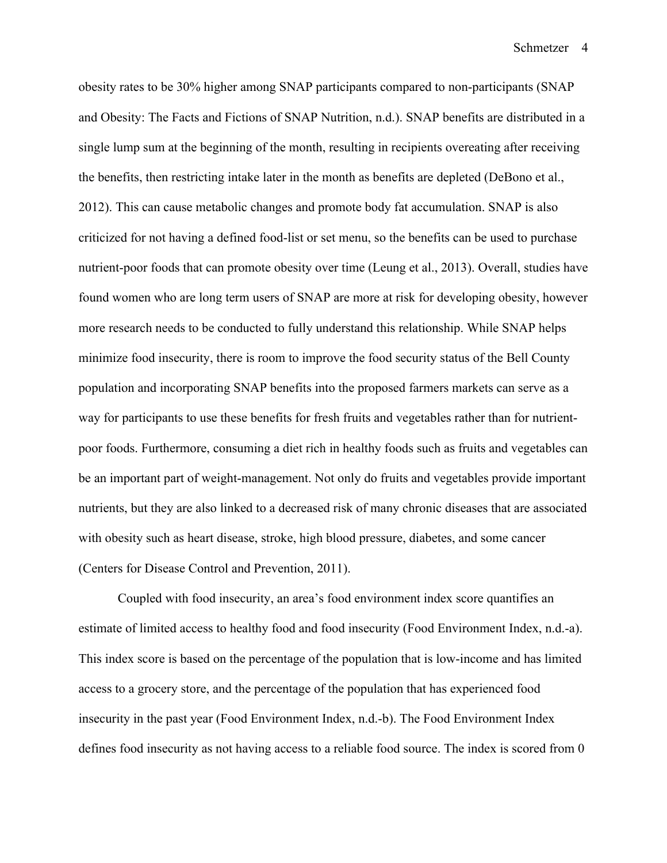obesity rates to be 30% higher among SNAP participants compared to non-participants (SNAP and Obesity: The Facts and Fictions of SNAP Nutrition, n.d.). SNAP benefits are distributed in a single lump sum at the beginning of the month, resulting in recipients overeating after receiving the benefits, then restricting intake later in the month as benefits are depleted (DeBono et al., 2012). This can cause metabolic changes and promote body fat accumulation. SNAP is also criticized for not having a defined food-list or set menu, so the benefits can be used to purchase nutrient-poor foods that can promote obesity over time (Leung et al., 2013). Overall, studies have found women who are long term users of SNAP are more at risk for developing obesity, however more research needs to be conducted to fully understand this relationship. While SNAP helps minimize food insecurity, there is room to improve the food security status of the Bell County population and incorporating SNAP benefits into the proposed farmers markets can serve as a way for participants to use these benefits for fresh fruits and vegetables rather than for nutrientpoor foods. Furthermore, consuming a diet rich in healthy foods such as fruits and vegetables can be an important part of weight-management. Not only do fruits and vegetables provide important nutrients, but they are also linked to a decreased risk of many chronic diseases that are associated with obesity such as heart disease, stroke, high blood pressure, diabetes, and some cancer (Centers for Disease Control and Prevention, 2011).

Coupled with food insecurity, an area's food environment index score quantifies an estimate of limited access to healthy food and food insecurity (Food Environment Index, n.d.-a). This index score is based on the percentage of the population that is low-income and has limited access to a grocery store, and the percentage of the population that has experienced food insecurity in the past year (Food Environment Index, n.d.-b). The Food Environment Index defines food insecurity as not having access to a reliable food source. The index is scored from 0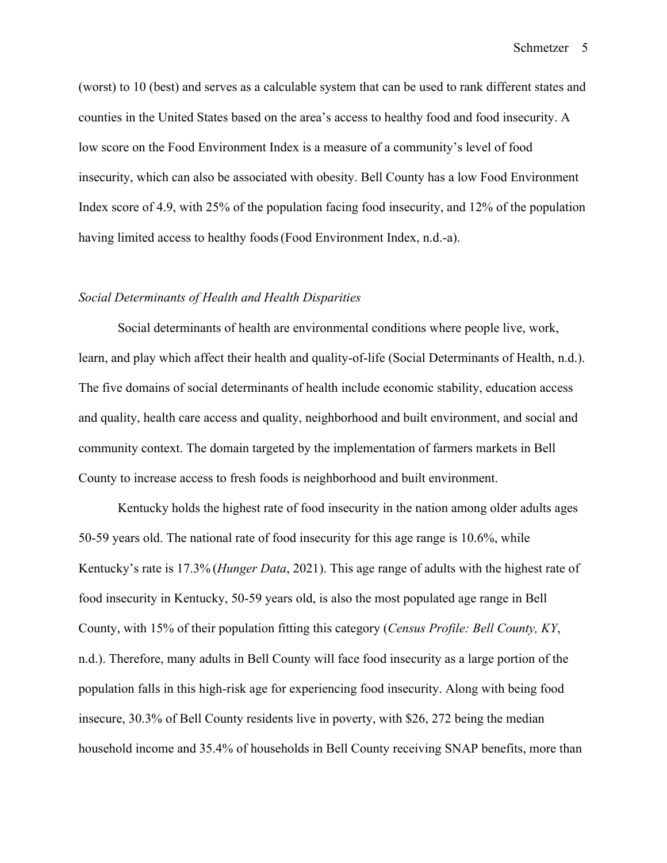(worst) to 10 (best) and serves as a calculable system that can be used to rank different states and counties in the United States based on the area's access to healthy food and food insecurity. A low score on the Food Environment Index is a measure of a community's level of food insecurity, which can also be associated with obesity. Bell County has a low Food Environment Index score of 4.9, with 25% of the population facing food insecurity, and 12% of the population having limited access to healthy foods(Food Environment Index, n.d.-a).

#### *Social Determinants of Health and Health Disparities*

Social determinants of health are environmental conditions where people live, work, learn, and play which affect their health and quality-of-life (Social Determinants of Health, n.d.). The five domains of social determinants of health include economic stability, education access and quality, health care access and quality, neighborhood and built environment, and social and community context. The domain targeted by the implementation of farmers markets in Bell County to increase access to fresh foods is neighborhood and built environment.

Kentucky holds the highest rate of food insecurity in the nation among older adults ages 50-59 years old. The national rate of food insecurity for this age range is 10.6%, while Kentucky's rate is 17.3% (*Hunger Data*, 2021). This age range of adults with the highest rate of food insecurity in Kentucky, 50-59 years old, is also the most populated age range in Bell County, with 15% of their population fitting this category (*Census Profile: Bell County, KY*, n.d.). Therefore, many adults in Bell County will face food insecurity as a large portion of the population falls in this high-risk age for experiencing food insecurity. Along with being food insecure, 30.3% of Bell County residents live in poverty, with \$26, 272 being the median household income and 35.4% of households in Bell County receiving SNAP benefits, more than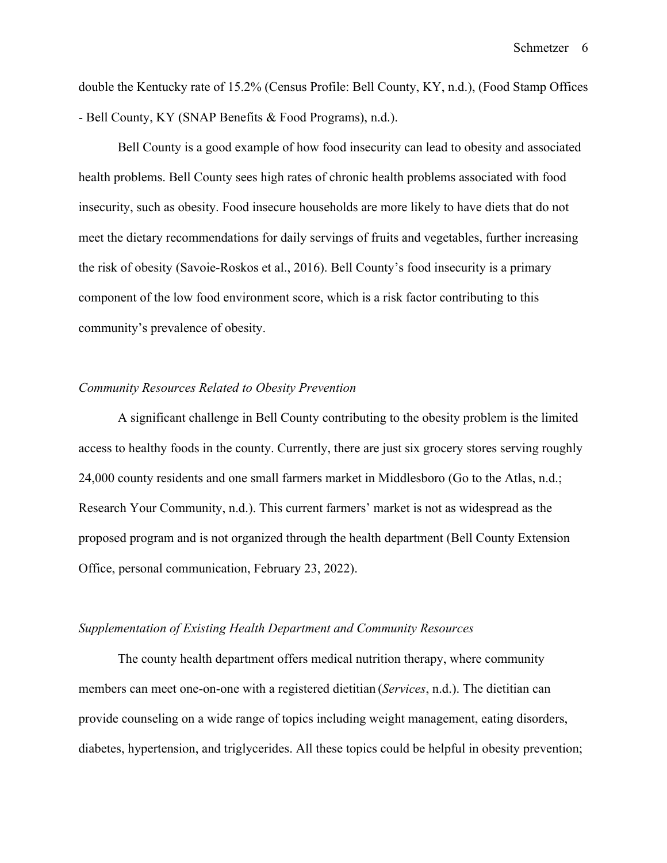double the Kentucky rate of 15.2% (Census Profile: Bell County, KY, n.d.), (Food Stamp Offices - Bell County, KY (SNAP Benefits & Food Programs), n.d.).

Bell County is a good example of how food insecurity can lead to obesity and associated health problems. Bell County sees high rates of chronic health problems associated with food insecurity, such as obesity. Food insecure households are more likely to have diets that do not meet the dietary recommendations for daily servings of fruits and vegetables, further increasing the risk of obesity (Savoie-Roskos et al., 2016). Bell County's food insecurity is a primary component of the low food environment score, which is a risk factor contributing to this community's prevalence of obesity.

#### *Community Resources Related to Obesity Prevention*

A significant challenge in Bell County contributing to the obesity problem is the limited access to healthy foods in the county. Currently, there are just six grocery stores serving roughly 24,000 county residents and one small farmers market in Middlesboro (Go to the Atlas, n.d.; Research Your Community, n.d.). This current farmers' market is not as widespread as the proposed program and is not organized through the health department (Bell County Extension Office, personal communication, February 23, 2022).

### *Supplementation of Existing Health Department and Community Resources*

The county health department offers medical nutrition therapy, where community members can meet one-on-one with a registered dietitian (*Services*, n.d.). The dietitian can provide counseling on a wide range of topics including weight management, eating disorders, diabetes, hypertension, and triglycerides. All these topics could be helpful in obesity prevention;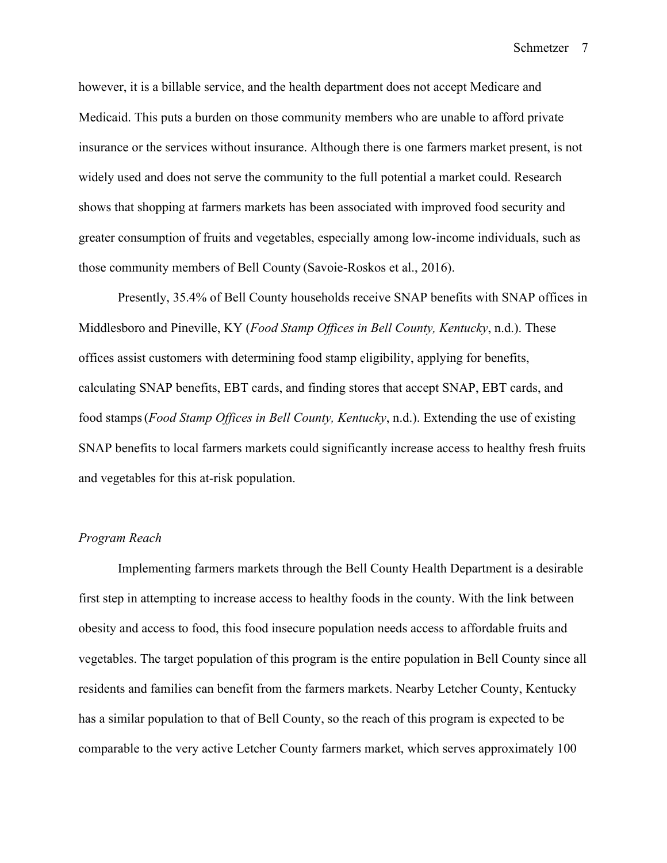however, it is a billable service, and the health department does not accept Medicare and Medicaid. This puts a burden on those community members who are unable to afford private insurance or the services without insurance. Although there is one farmers market present, is not widely used and does not serve the community to the full potential a market could. Research shows that shopping at farmers markets has been associated with improved food security and greater consumption of fruits and vegetables, especially among low-income individuals, such as those community members of Bell County (Savoie-Roskos et al., 2016).

Presently, 35.4% of Bell County households receive SNAP benefits with SNAP offices in Middlesboro and Pineville, KY (*Food Stamp Offices in Bell County, Kentucky*, n.d.). These offices assist customers with determining food stamp eligibility, applying for benefits, calculating SNAP benefits, EBT cards, and finding stores that accept SNAP, EBT cards, and food stamps(*Food Stamp Offices in Bell County, Kentucky*, n.d.). Extending the use of existing SNAP benefits to local farmers markets could significantly increase access to healthy fresh fruits and vegetables for this at-risk population.

### *Program Reach*

Implementing farmers markets through the Bell County Health Department is a desirable first step in attempting to increase access to healthy foods in the county. With the link between obesity and access to food, this food insecure population needs access to affordable fruits and vegetables. The target population of this program is the entire population in Bell County since all residents and families can benefit from the farmers markets. Nearby Letcher County, Kentucky has a similar population to that of Bell County, so the reach of this program is expected to be comparable to the very active Letcher County farmers market, which serves approximately 100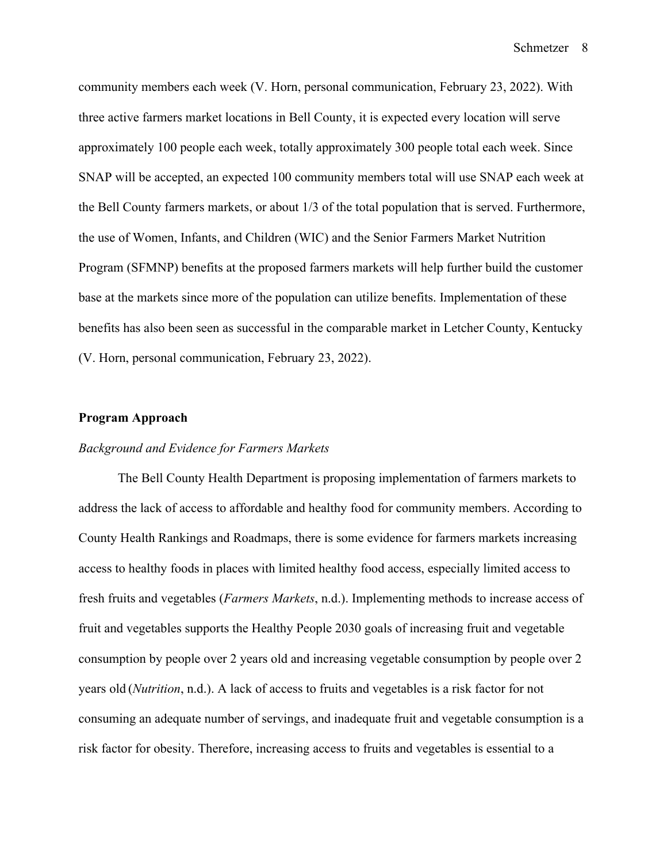community members each week (V. Horn, personal communication, February 23, 2022). With three active farmers market locations in Bell County, it is expected every location will serve approximately 100 people each week, totally approximately 300 people total each week. Since SNAP will be accepted, an expected 100 community members total will use SNAP each week at the Bell County farmers markets, or about 1/3 of the total population that is served. Furthermore, the use of Women, Infants, and Children (WIC) and the Senior Farmers Market Nutrition Program (SFMNP) benefits at the proposed farmers markets will help further build the customer base at the markets since more of the population can utilize benefits. Implementation of these benefits has also been seen as successful in the comparable market in Letcher County, Kentucky (V. Horn, personal communication, February 23, 2022).

#### **Program Approach**

### *Background and Evidence for Farmers Markets*

The Bell County Health Department is proposing implementation of farmers markets to address the lack of access to affordable and healthy food for community members. According to County Health Rankings and Roadmaps, there is some evidence for farmers markets increasing access to healthy foods in places with limited healthy food access, especially limited access to fresh fruits and vegetables (*Farmers Markets*, n.d.). Implementing methods to increase access of fruit and vegetables supports the Healthy People 2030 goals of increasing fruit and vegetable consumption by people over 2 years old and increasing vegetable consumption by people over 2 years old (*Nutrition*, n.d.). A lack of access to fruits and vegetables is a risk factor for not consuming an adequate number of servings, and inadequate fruit and vegetable consumption is a risk factor for obesity. Therefore, increasing access to fruits and vegetables is essential to a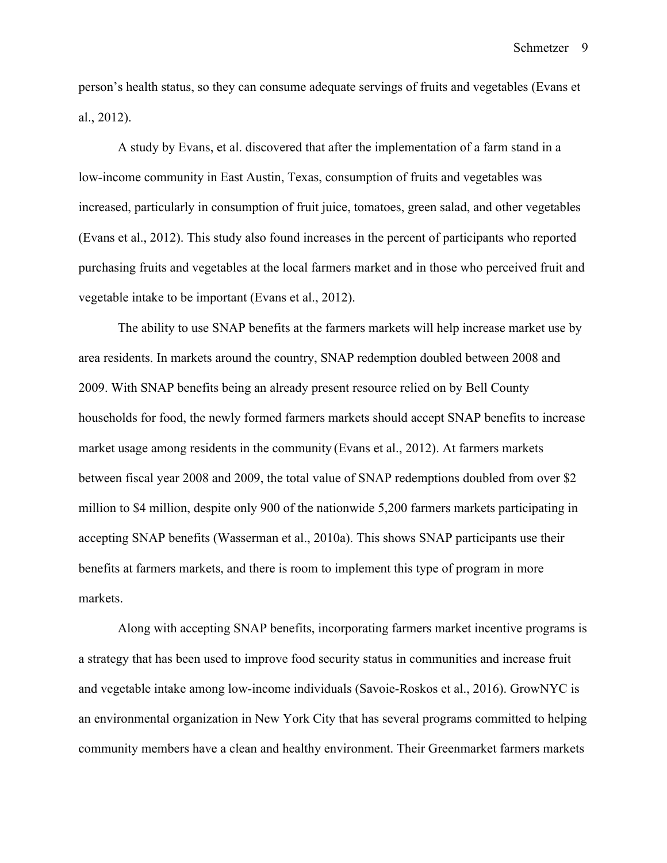person's health status, so they can consume adequate servings of fruits and vegetables (Evans et al., 2012).

A study by Evans, et al. discovered that after the implementation of a farm stand in a low-income community in East Austin, Texas, consumption of fruits and vegetables was increased, particularly in consumption of fruit juice, tomatoes, green salad, and other vegetables (Evans et al., 2012). This study also found increases in the percent of participants who reported purchasing fruits and vegetables at the local farmers market and in those who perceived fruit and vegetable intake to be important (Evans et al., 2012).

The ability to use SNAP benefits at the farmers markets will help increase market use by area residents. In markets around the country, SNAP redemption doubled between 2008 and 2009. With SNAP benefits being an already present resource relied on by Bell County households for food, the newly formed farmers markets should accept SNAP benefits to increase market usage among residents in the community (Evans et al., 2012). At farmers markets between fiscal year 2008 and 2009, the total value of SNAP redemptions doubled from over \$2 million to \$4 million, despite only 900 of the nationwide 5,200 farmers markets participating in accepting SNAP benefits (Wasserman et al., 2010a). This shows SNAP participants use their benefits at farmers markets, and there is room to implement this type of program in more markets.

Along with accepting SNAP benefits, incorporating farmers market incentive programs is a strategy that has been used to improve food security status in communities and increase fruit and vegetable intake among low-income individuals (Savoie-Roskos et al., 2016). GrowNYC is an environmental organization in New York City that has several programs committed to helping community members have a clean and healthy environment. Their Greenmarket farmers markets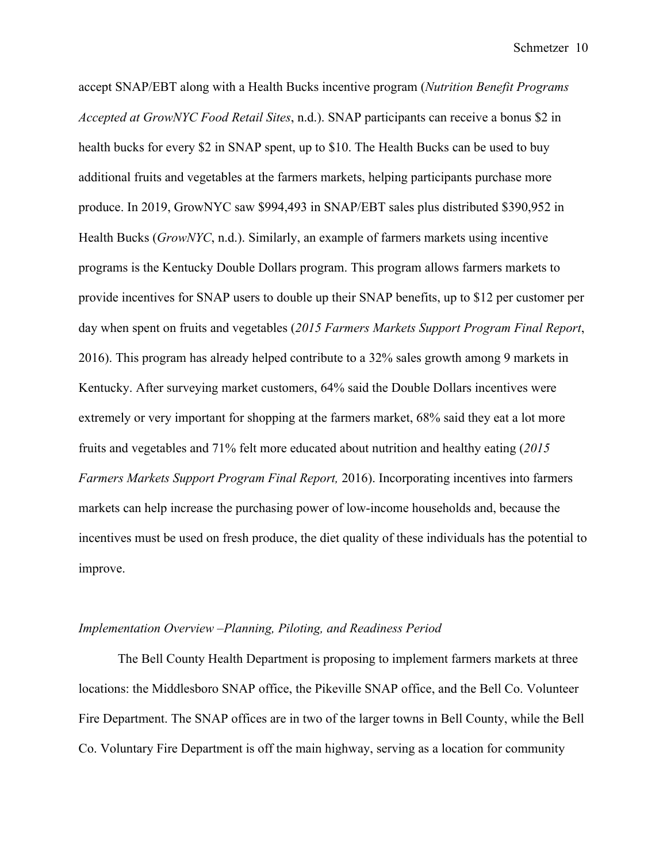accept SNAP/EBT along with a Health Bucks incentive program (*Nutrition Benefit Programs Accepted at GrowNYC Food Retail Sites*, n.d.). SNAP participants can receive a bonus \$2 in health bucks for every \$2 in SNAP spent, up to \$10. The Health Bucks can be used to buy additional fruits and vegetables at the farmers markets, helping participants purchase more produce. In 2019, GrowNYC saw \$994,493 in SNAP/EBT sales plus distributed \$390,952 in Health Bucks (*GrowNYC*, n.d.). Similarly, an example of farmers markets using incentive programs is the Kentucky Double Dollars program. This program allows farmers markets to provide incentives for SNAP users to double up their SNAP benefits, up to \$12 per customer per day when spent on fruits and vegetables (*2015 Farmers Markets Support Program Final Report*, 2016). This program has already helped contribute to a 32% sales growth among 9 markets in Kentucky. After surveying market customers, 64% said the Double Dollars incentives were extremely or very important for shopping at the farmers market, 68% said they eat a lot more fruits and vegetables and 71% felt more educated about nutrition and healthy eating (*2015 Farmers Markets Support Program Final Report,* 2016). Incorporating incentives into farmers markets can help increase the purchasing power of low-income households and, because the incentives must be used on fresh produce, the diet quality of these individuals has the potential to improve.

### *Implementation Overview –Planning, Piloting, and Readiness Period*

The Bell County Health Department is proposing to implement farmers markets at three locations: the Middlesboro SNAP office, the Pikeville SNAP office, and the Bell Co. Volunteer Fire Department. The SNAP offices are in two of the larger towns in Bell County, while the Bell Co. Voluntary Fire Department is off the main highway, serving as a location for community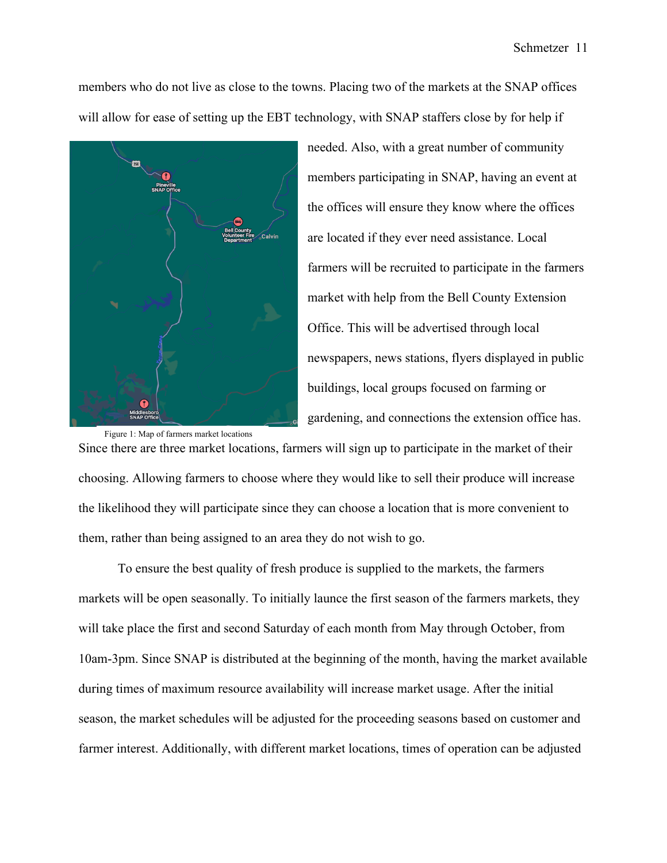members who do not live as close to the towns. Placing two of the markets at the SNAP offices will allow for ease of setting up the EBT technology, with SNAP staffers close by for help if



needed. Also, with a great number of community members participating in SNAP, having an event at the offices will ensure they know where the offices are located if they ever need assistance. Local farmers will be recruited to participate in the farmers market with help from the Bell County Extension Office. This will be advertised through local newspapers, news stations, flyers displayed in public buildings, local groups focused on farming or gardening, and connections the extension office has.

Since there are three market locations, farmers will sign up to participate in the market of their choosing. Allowing farmers to choose where they would like to sell their produce will increase the likelihood they will participate since they can choose a location that is more convenient to them, rather than being assigned to an area they do not wish to go.

To ensure the best quality of fresh produce is supplied to the markets, the farmers markets will be open seasonally. To initially launce the first season of the farmers markets, they will take place the first and second Saturday of each month from May through October, from 10am-3pm. Since SNAP is distributed at the beginning of the month, having the market available during times of maximum resource availability will increase market usage. After the initial season, the market schedules will be adjusted for the proceeding seasons based on customer and farmer interest. Additionally, with different market locations, times of operation can be adjusted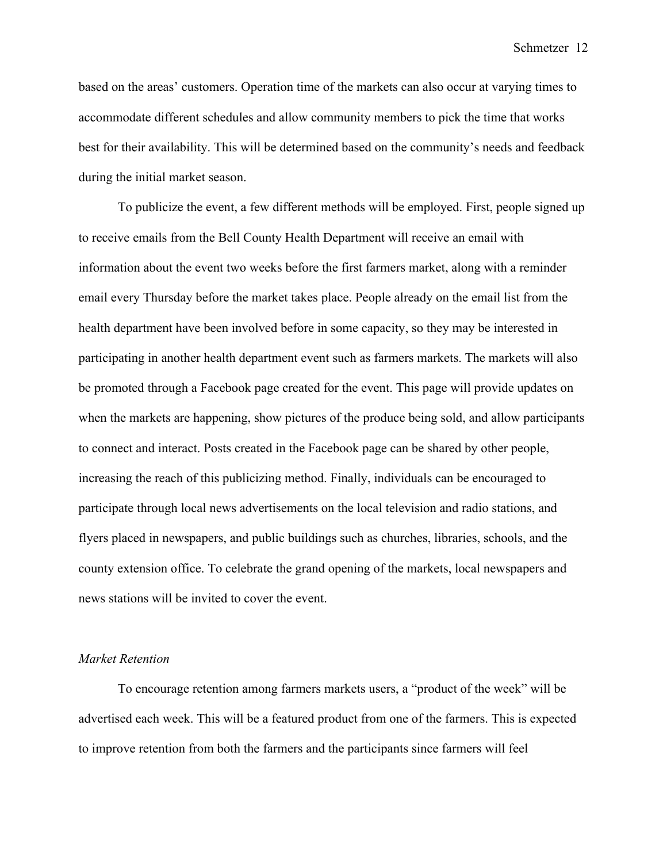based on the areas' customers. Operation time of the markets can also occur at varying times to accommodate different schedules and allow community members to pick the time that works best for their availability. This will be determined based on the community's needs and feedback during the initial market season.

To publicize the event, a few different methods will be employed. First, people signed up to receive emails from the Bell County Health Department will receive an email with information about the event two weeks before the first farmers market, along with a reminder email every Thursday before the market takes place. People already on the email list from the health department have been involved before in some capacity, so they may be interested in participating in another health department event such as farmers markets. The markets will also be promoted through a Facebook page created for the event. This page will provide updates on when the markets are happening, show pictures of the produce being sold, and allow participants to connect and interact. Posts created in the Facebook page can be shared by other people, increasing the reach of this publicizing method. Finally, individuals can be encouraged to participate through local news advertisements on the local television and radio stations, and flyers placed in newspapers, and public buildings such as churches, libraries, schools, and the county extension office. To celebrate the grand opening of the markets, local newspapers and news stations will be invited to cover the event.

#### *Market Retention*

To encourage retention among farmers markets users, a "product of the week" will be advertised each week. This will be a featured product from one of the farmers. This is expected to improve retention from both the farmers and the participants since farmers will feel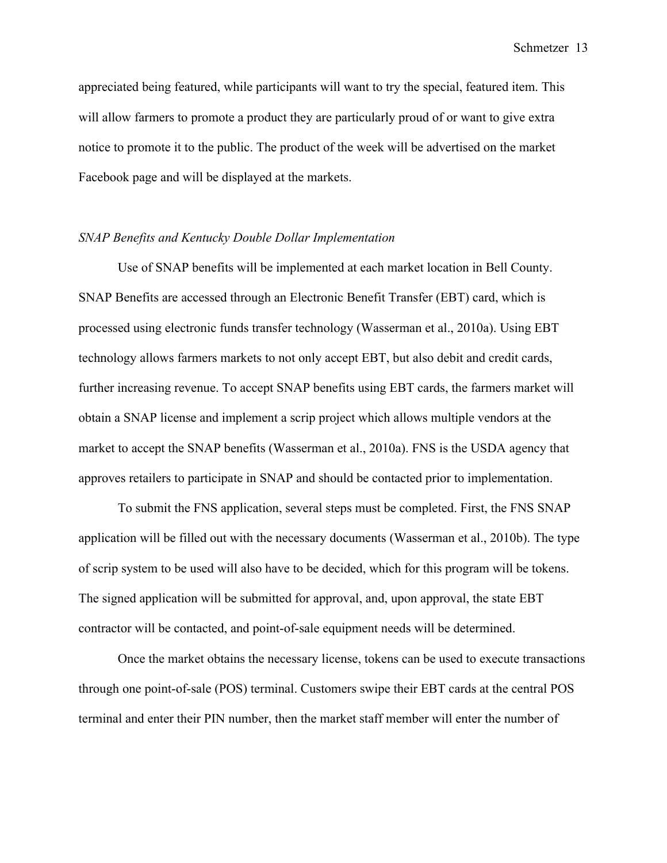appreciated being featured, while participants will want to try the special, featured item. This will allow farmers to promote a product they are particularly proud of or want to give extra notice to promote it to the public. The product of the week will be advertised on the market Facebook page and will be displayed at the markets.

#### *SNAP Benefits and Kentucky Double Dollar Implementation*

Use of SNAP benefits will be implemented at each market location in Bell County. SNAP Benefits are accessed through an Electronic Benefit Transfer (EBT) card, which is processed using electronic funds transfer technology (Wasserman et al., 2010a). Using EBT technology allows farmers markets to not only accept EBT, but also debit and credit cards, further increasing revenue. To accept SNAP benefits using EBT cards, the farmers market will obtain a SNAP license and implement a scrip project which allows multiple vendors at the market to accept the SNAP benefits (Wasserman et al., 2010a). FNS is the USDA agency that approves retailers to participate in SNAP and should be contacted prior to implementation.

To submit the FNS application, several steps must be completed. First, the FNS SNAP application will be filled out with the necessary documents (Wasserman et al., 2010b). The type of scrip system to be used will also have to be decided, which for this program will be tokens. The signed application will be submitted for approval, and, upon approval, the state EBT contractor will be contacted, and point-of-sale equipment needs will be determined.

Once the market obtains the necessary license, tokens can be used to execute transactions through one point-of-sale (POS) terminal. Customers swipe their EBT cards at the central POS terminal and enter their PIN number, then the market staff member will enter the number of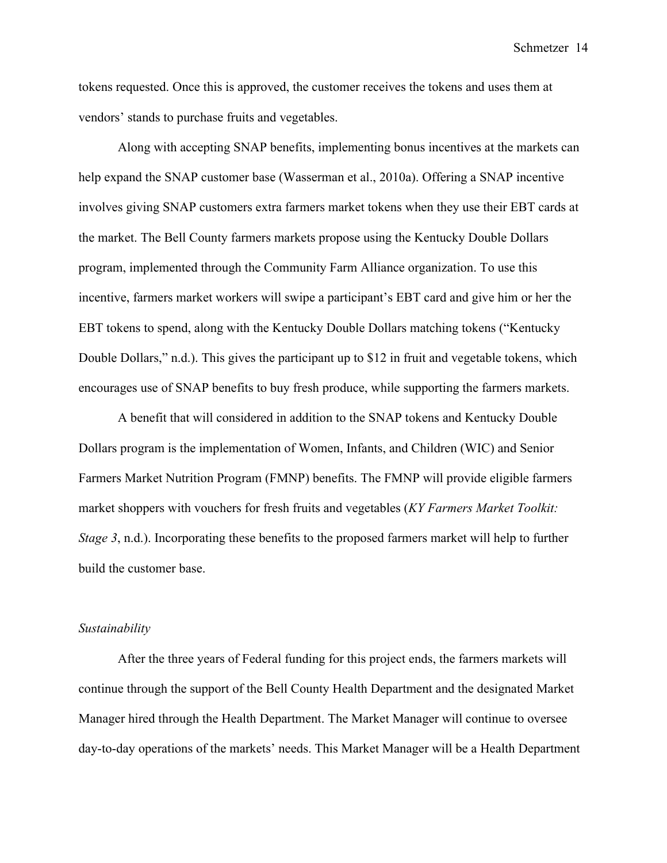tokens requested. Once this is approved, the customer receives the tokens and uses them at vendors' stands to purchase fruits and vegetables.

Along with accepting SNAP benefits, implementing bonus incentives at the markets can help expand the SNAP customer base (Wasserman et al., 2010a). Offering a SNAP incentive involves giving SNAP customers extra farmers market tokens when they use their EBT cards at the market. The Bell County farmers markets propose using the Kentucky Double Dollars program, implemented through the Community Farm Alliance organization. To use this incentive, farmers market workers will swipe a participant's EBT card and give him or her the EBT tokens to spend, along with the Kentucky Double Dollars matching tokens ("Kentucky Double Dollars," n.d.). This gives the participant up to \$12 in fruit and vegetable tokens, which encourages use of SNAP benefits to buy fresh produce, while supporting the farmers markets.

A benefit that will considered in addition to the SNAP tokens and Kentucky Double Dollars program is the implementation of Women, Infants, and Children (WIC) and Senior Farmers Market Nutrition Program (FMNP) benefits. The FMNP will provide eligible farmers market shoppers with vouchers for fresh fruits and vegetables (*KY Farmers Market Toolkit: Stage 3*, n.d.). Incorporating these benefits to the proposed farmers market will help to further build the customer base.

#### *Sustainability*

After the three years of Federal funding for this project ends, the farmers markets will continue through the support of the Bell County Health Department and the designated Market Manager hired through the Health Department. The Market Manager will continue to oversee day-to-day operations of the markets' needs. This Market Manager will be a Health Department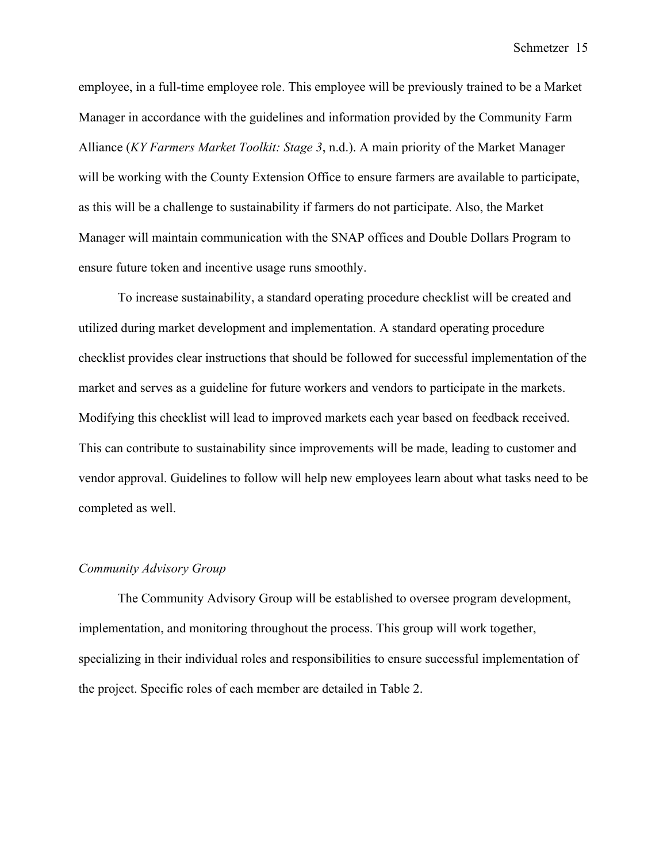employee, in a full-time employee role. This employee will be previously trained to be a Market Manager in accordance with the guidelines and information provided by the Community Farm Alliance (*KY Farmers Market Toolkit: Stage 3*, n.d.). A main priority of the Market Manager will be working with the County Extension Office to ensure farmers are available to participate, as this will be a challenge to sustainability if farmers do not participate. Also, the Market Manager will maintain communication with the SNAP offices and Double Dollars Program to ensure future token and incentive usage runs smoothly.

To increase sustainability, a standard operating procedure checklist will be created and utilized during market development and implementation. A standard operating procedure checklist provides clear instructions that should be followed for successful implementation of the market and serves as a guideline for future workers and vendors to participate in the markets. Modifying this checklist will lead to improved markets each year based on feedback received. This can contribute to sustainability since improvements will be made, leading to customer and vendor approval. Guidelines to follow will help new employees learn about what tasks need to be completed as well.

#### *Community Advisory Group*

The Community Advisory Group will be established to oversee program development, implementation, and monitoring throughout the process. This group will work together, specializing in their individual roles and responsibilities to ensure successful implementation of the project. Specific roles of each member are detailed in Table 2.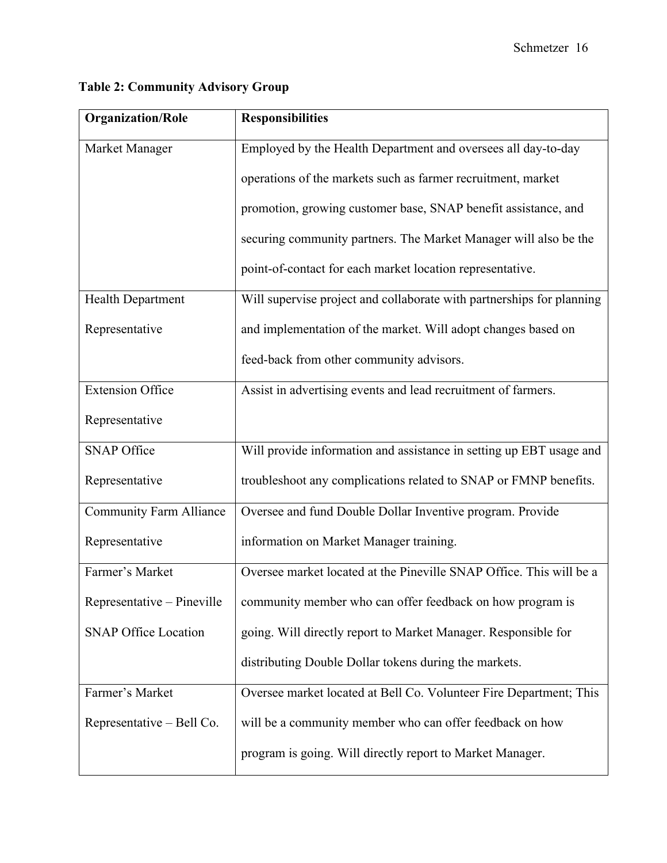| <b>Organization/Role</b>       | <b>Responsibilities</b>                                               |
|--------------------------------|-----------------------------------------------------------------------|
| Market Manager                 | Employed by the Health Department and oversees all day-to-day         |
|                                | operations of the markets such as farmer recruitment, market          |
|                                | promotion, growing customer base, SNAP benefit assistance, and        |
|                                | securing community partners. The Market Manager will also be the      |
|                                | point-of-contact for each market location representative.             |
| <b>Health Department</b>       | Will supervise project and collaborate with partnerships for planning |
| Representative                 | and implementation of the market. Will adopt changes based on         |
|                                | feed-back from other community advisors.                              |
| <b>Extension Office</b>        | Assist in advertising events and lead recruitment of farmers.         |
| Representative                 |                                                                       |
| <b>SNAP Office</b>             | Will provide information and assistance in setting up EBT usage and   |
| Representative                 | troubleshoot any complications related to SNAP or FMNP benefits.      |
| <b>Community Farm Alliance</b> | Oversee and fund Double Dollar Inventive program. Provide             |
| Representative                 | information on Market Manager training.                               |
| Farmer's Market                | Oversee market located at the Pineville SNAP Office. This will be a   |
| Representative – Pineville     | community member who can offer feedback on how program is             |
| <b>SNAP Office Location</b>    | going. Will directly report to Market Manager. Responsible for        |
|                                | distributing Double Dollar tokens during the markets.                 |
| Farmer's Market                | Oversee market located at Bell Co. Volunteer Fire Department; This    |
| Representative – Bell Co.      | will be a community member who can offer feedback on how              |
|                                | program is going. Will directly report to Market Manager.             |

# **Table 2: Community Advisory Group**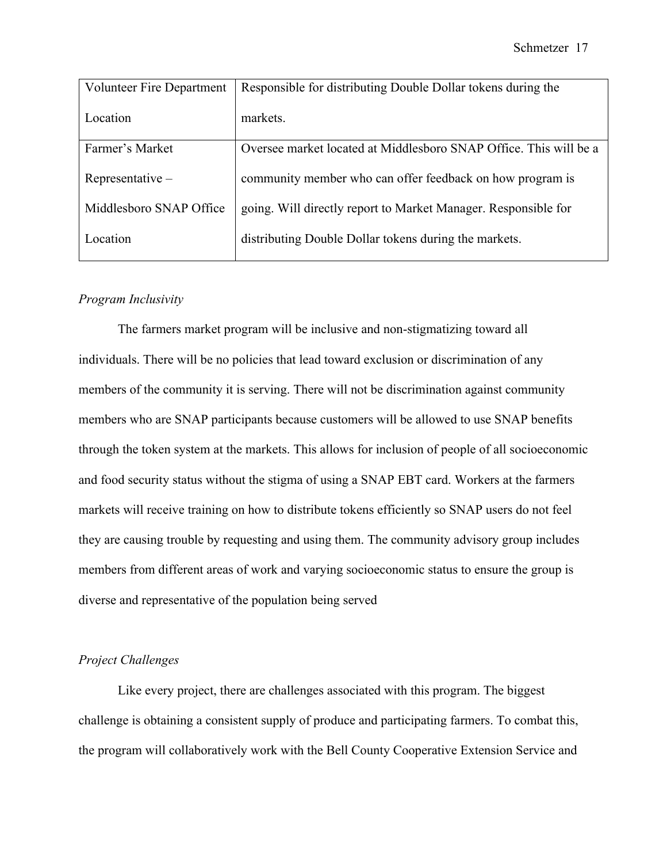| <b>Volunteer Fire Department</b> | Responsible for distributing Double Dollar tokens during the      |
|----------------------------------|-------------------------------------------------------------------|
| Location                         | markets.                                                          |
| Farmer's Market                  | Oversee market located at Middlesboro SNAP Office. This will be a |
| $Representative -$               | community member who can offer feedback on how program is         |
| Middlesboro SNAP Office          | going. Will directly report to Market Manager. Responsible for    |
| Location                         | distributing Double Dollar tokens during the markets.             |

### *Program Inclusivity*

The farmers market program will be inclusive and non-stigmatizing toward all individuals. There will be no policies that lead toward exclusion or discrimination of any members of the community it is serving. There will not be discrimination against community members who are SNAP participants because customers will be allowed to use SNAP benefits through the token system at the markets. This allows for inclusion of people of all socioeconomic and food security status without the stigma of using a SNAP EBT card. Workers at the farmers markets will receive training on how to distribute tokens efficiently so SNAP users do not feel they are causing trouble by requesting and using them. The community advisory group includes members from different areas of work and varying socioeconomic status to ensure the group is diverse and representative of the population being served

# *Project Challenges*

Like every project, there are challenges associated with this program. The biggest challenge is obtaining a consistent supply of produce and participating farmers. To combat this, the program will collaboratively work with the Bell County Cooperative Extension Service and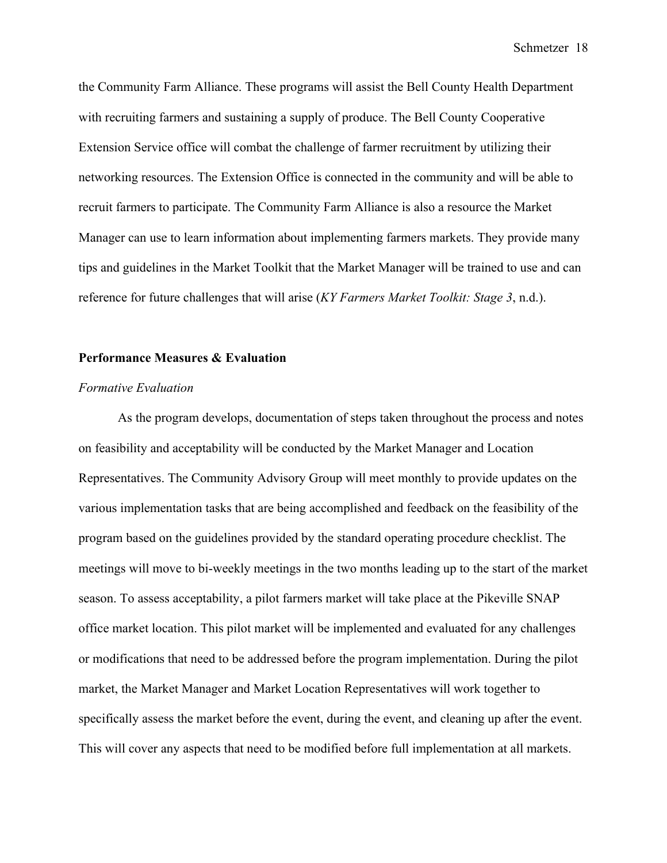the Community Farm Alliance. These programs will assist the Bell County Health Department with recruiting farmers and sustaining a supply of produce. The Bell County Cooperative Extension Service office will combat the challenge of farmer recruitment by utilizing their networking resources. The Extension Office is connected in the community and will be able to recruit farmers to participate. The Community Farm Alliance is also a resource the Market Manager can use to learn information about implementing farmers markets. They provide many tips and guidelines in the Market Toolkit that the Market Manager will be trained to use and can reference for future challenges that will arise (*KY Farmers Market Toolkit: Stage 3*, n.d.).

#### **Performance Measures & Evaluation**

#### *Formative Evaluation*

As the program develops, documentation of steps taken throughout the process and notes on feasibility and acceptability will be conducted by the Market Manager and Location Representatives. The Community Advisory Group will meet monthly to provide updates on the various implementation tasks that are being accomplished and feedback on the feasibility of the program based on the guidelines provided by the standard operating procedure checklist. The meetings will move to bi-weekly meetings in the two months leading up to the start of the market season. To assess acceptability, a pilot farmers market will take place at the Pikeville SNAP office market location. This pilot market will be implemented and evaluated for any challenges or modifications that need to be addressed before the program implementation. During the pilot market, the Market Manager and Market Location Representatives will work together to specifically assess the market before the event, during the event, and cleaning up after the event. This will cover any aspects that need to be modified before full implementation at all markets.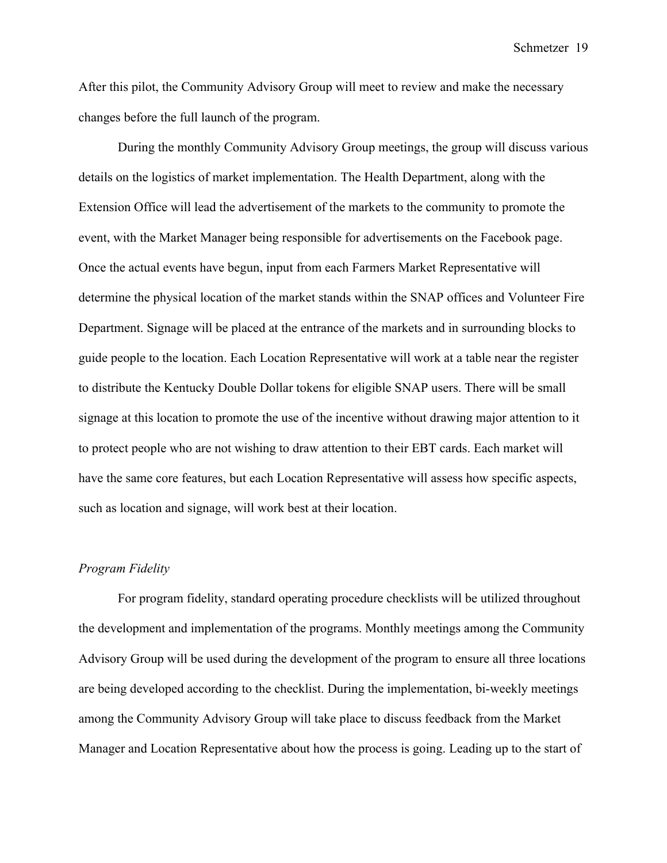After this pilot, the Community Advisory Group will meet to review and make the necessary changes before the full launch of the program.

During the monthly Community Advisory Group meetings, the group will discuss various details on the logistics of market implementation. The Health Department, along with the Extension Office will lead the advertisement of the markets to the community to promote the event, with the Market Manager being responsible for advertisements on the Facebook page. Once the actual events have begun, input from each Farmers Market Representative will determine the physical location of the market stands within the SNAP offices and Volunteer Fire Department. Signage will be placed at the entrance of the markets and in surrounding blocks to guide people to the location. Each Location Representative will work at a table near the register to distribute the Kentucky Double Dollar tokens for eligible SNAP users. There will be small signage at this location to promote the use of the incentive without drawing major attention to it to protect people who are not wishing to draw attention to their EBT cards. Each market will have the same core features, but each Location Representative will assess how specific aspects, such as location and signage, will work best at their location.

## *Program Fidelity*

For program fidelity, standard operating procedure checklists will be utilized throughout the development and implementation of the programs. Monthly meetings among the Community Advisory Group will be used during the development of the program to ensure all three locations are being developed according to the checklist. During the implementation, bi-weekly meetings among the Community Advisory Group will take place to discuss feedback from the Market Manager and Location Representative about how the process is going. Leading up to the start of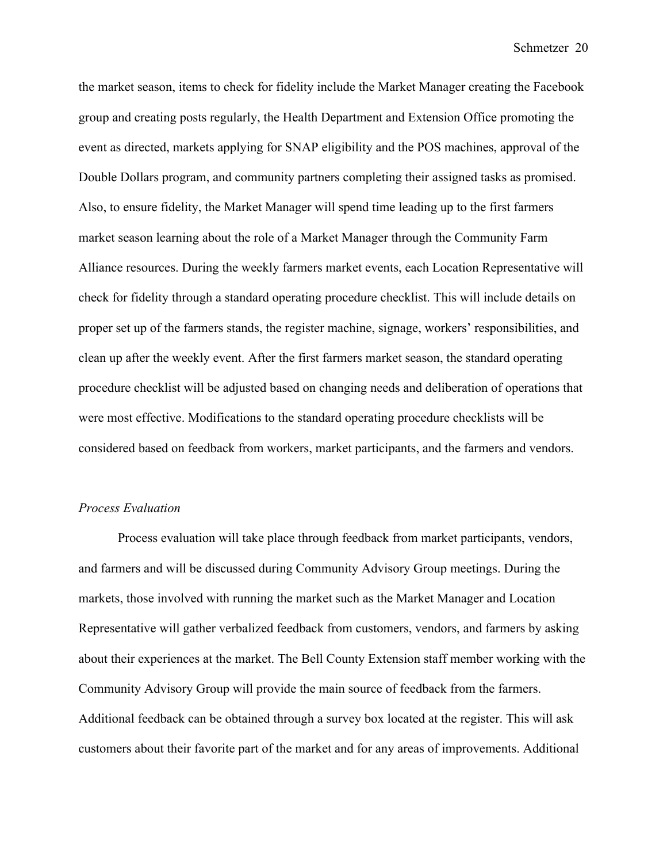the market season, items to check for fidelity include the Market Manager creating the Facebook group and creating posts regularly, the Health Department and Extension Office promoting the event as directed, markets applying for SNAP eligibility and the POS machines, approval of the Double Dollars program, and community partners completing their assigned tasks as promised. Also, to ensure fidelity, the Market Manager will spend time leading up to the first farmers market season learning about the role of a Market Manager through the Community Farm Alliance resources. During the weekly farmers market events, each Location Representative will check for fidelity through a standard operating procedure checklist. This will include details on proper set up of the farmers stands, the register machine, signage, workers' responsibilities, and clean up after the weekly event. After the first farmers market season, the standard operating procedure checklist will be adjusted based on changing needs and deliberation of operations that were most effective. Modifications to the standard operating procedure checklists will be considered based on feedback from workers, market participants, and the farmers and vendors.

#### *Process Evaluation*

Process evaluation will take place through feedback from market participants, vendors, and farmers and will be discussed during Community Advisory Group meetings. During the markets, those involved with running the market such as the Market Manager and Location Representative will gather verbalized feedback from customers, vendors, and farmers by asking about their experiences at the market. The Bell County Extension staff member working with the Community Advisory Group will provide the main source of feedback from the farmers. Additional feedback can be obtained through a survey box located at the register. This will ask customers about their favorite part of the market and for any areas of improvements. Additional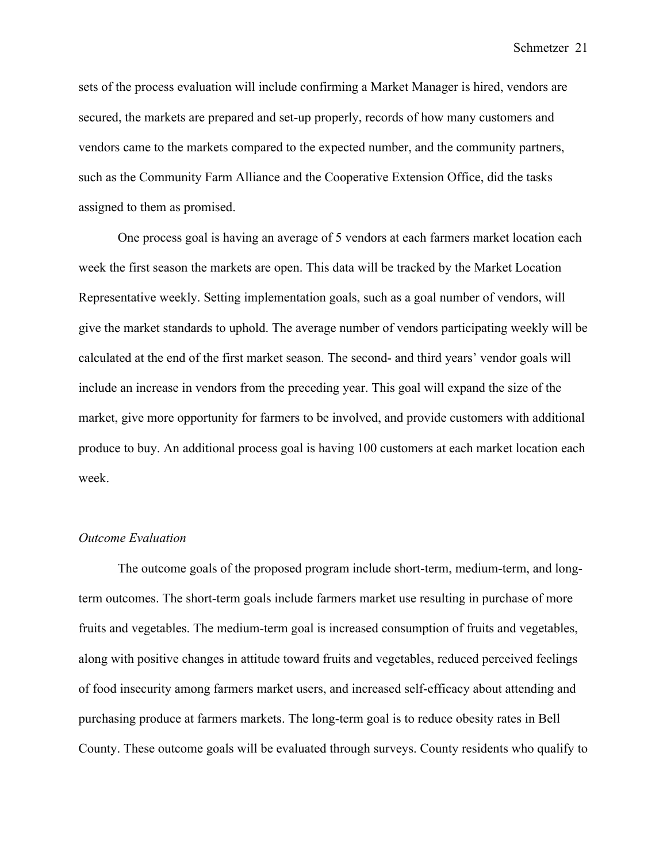sets of the process evaluation will include confirming a Market Manager is hired, vendors are secured, the markets are prepared and set-up properly, records of how many customers and vendors came to the markets compared to the expected number, and the community partners, such as the Community Farm Alliance and the Cooperative Extension Office, did the tasks assigned to them as promised.

One process goal is having an average of 5 vendors at each farmers market location each week the first season the markets are open. This data will be tracked by the Market Location Representative weekly. Setting implementation goals, such as a goal number of vendors, will give the market standards to uphold. The average number of vendors participating weekly will be calculated at the end of the first market season. The second- and third years' vendor goals will include an increase in vendors from the preceding year. This goal will expand the size of the market, give more opportunity for farmers to be involved, and provide customers with additional produce to buy. An additional process goal is having 100 customers at each market location each week.

#### *Outcome Evaluation*

The outcome goals of the proposed program include short-term, medium-term, and longterm outcomes. The short-term goals include farmers market use resulting in purchase of more fruits and vegetables. The medium-term goal is increased consumption of fruits and vegetables, along with positive changes in attitude toward fruits and vegetables, reduced perceived feelings of food insecurity among farmers market users, and increased self-efficacy about attending and purchasing produce at farmers markets. The long-term goal is to reduce obesity rates in Bell County. These outcome goals will be evaluated through surveys. County residents who qualify to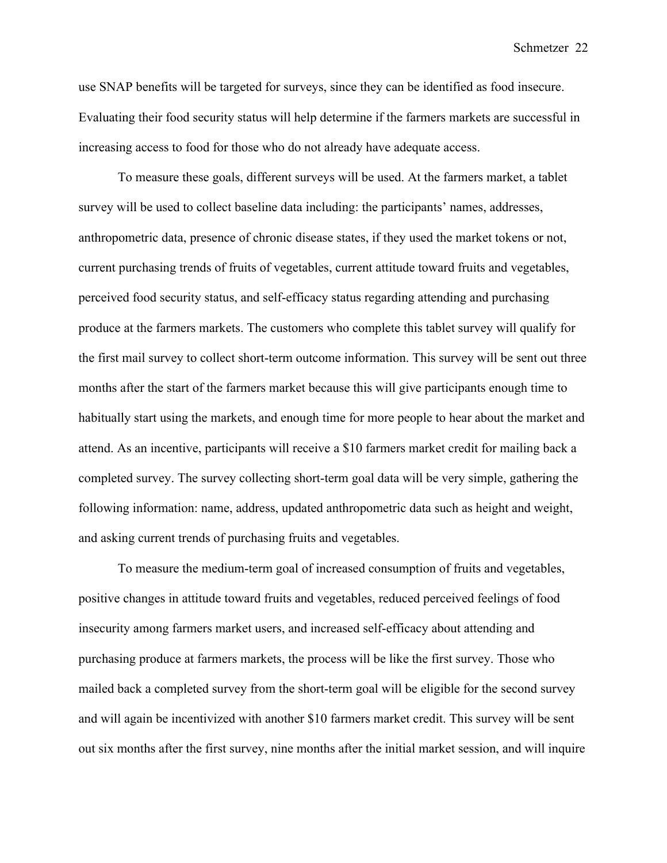use SNAP benefits will be targeted for surveys, since they can be identified as food insecure. Evaluating their food security status will help determine if the farmers markets are successful in increasing access to food for those who do not already have adequate access.

To measure these goals, different surveys will be used. At the farmers market, a tablet survey will be used to collect baseline data including: the participants' names, addresses, anthropometric data, presence of chronic disease states, if they used the market tokens or not, current purchasing trends of fruits of vegetables, current attitude toward fruits and vegetables, perceived food security status, and self-efficacy status regarding attending and purchasing produce at the farmers markets. The customers who complete this tablet survey will qualify for the first mail survey to collect short-term outcome information. This survey will be sent out three months after the start of the farmers market because this will give participants enough time to habitually start using the markets, and enough time for more people to hear about the market and attend. As an incentive, participants will receive a \$10 farmers market credit for mailing back a completed survey. The survey collecting short-term goal data will be very simple, gathering the following information: name, address, updated anthropometric data such as height and weight, and asking current trends of purchasing fruits and vegetables.

To measure the medium-term goal of increased consumption of fruits and vegetables, positive changes in attitude toward fruits and vegetables, reduced perceived feelings of food insecurity among farmers market users, and increased self-efficacy about attending and purchasing produce at farmers markets, the process will be like the first survey. Those who mailed back a completed survey from the short-term goal will be eligible for the second survey and will again be incentivized with another \$10 farmers market credit. This survey will be sent out six months after the first survey, nine months after the initial market session, and will inquire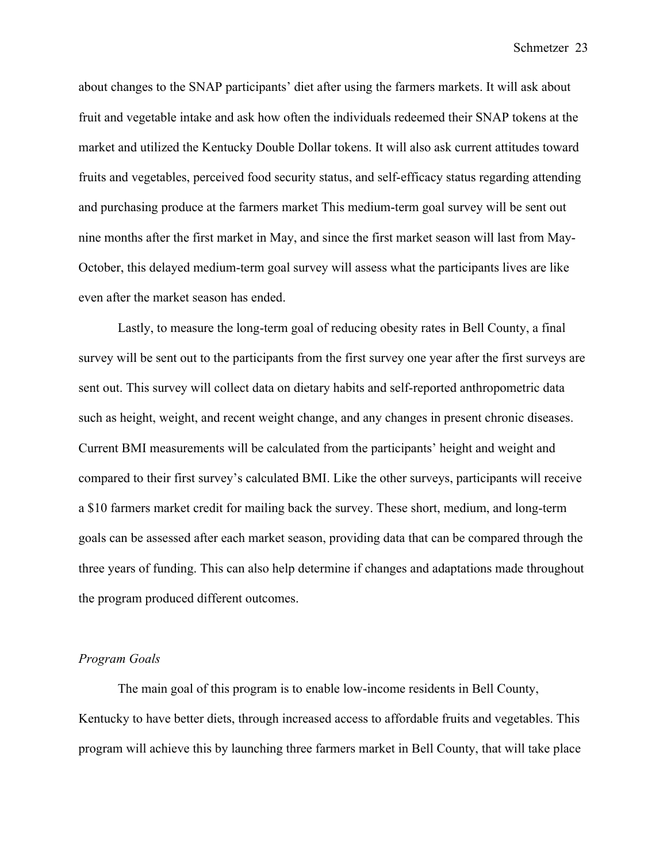about changes to the SNAP participants' diet after using the farmers markets. It will ask about fruit and vegetable intake and ask how often the individuals redeemed their SNAP tokens at the market and utilized the Kentucky Double Dollar tokens. It will also ask current attitudes toward fruits and vegetables, perceived food security status, and self-efficacy status regarding attending and purchasing produce at the farmers market This medium-term goal survey will be sent out nine months after the first market in May, and since the first market season will last from May-October, this delayed medium-term goal survey will assess what the participants lives are like even after the market season has ended.

Lastly, to measure the long-term goal of reducing obesity rates in Bell County, a final survey will be sent out to the participants from the first survey one year after the first surveys are sent out. This survey will collect data on dietary habits and self-reported anthropometric data such as height, weight, and recent weight change, and any changes in present chronic diseases. Current BMI measurements will be calculated from the participants' height and weight and compared to their first survey's calculated BMI. Like the other surveys, participants will receive a \$10 farmers market credit for mailing back the survey. These short, medium, and long-term goals can be assessed after each market season, providing data that can be compared through the three years of funding. This can also help determine if changes and adaptations made throughout the program produced different outcomes.

### *Program Goals*

The main goal of this program is to enable low-income residents in Bell County, Kentucky to have better diets, through increased access to affordable fruits and vegetables. This program will achieve this by launching three farmers market in Bell County, that will take place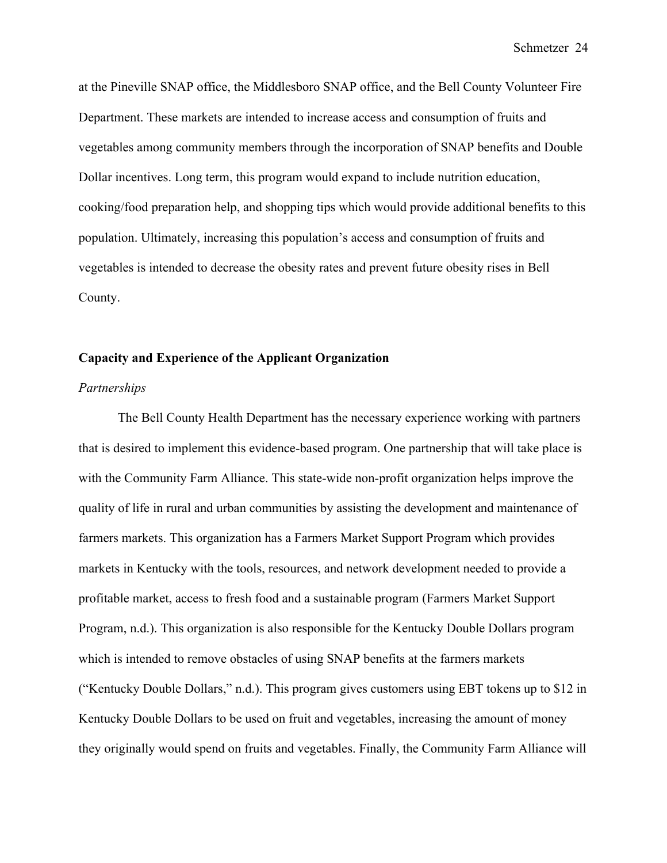at the Pineville SNAP office, the Middlesboro SNAP office, and the Bell County Volunteer Fire Department. These markets are intended to increase access and consumption of fruits and vegetables among community members through the incorporation of SNAP benefits and Double Dollar incentives. Long term, this program would expand to include nutrition education, cooking/food preparation help, and shopping tips which would provide additional benefits to this population. Ultimately, increasing this population's access and consumption of fruits and vegetables is intended to decrease the obesity rates and prevent future obesity rises in Bell County.

### **Capacity and Experience of the Applicant Organization**

#### *Partnerships*

The Bell County Health Department has the necessary experience working with partners that is desired to implement this evidence-based program. One partnership that will take place is with the Community Farm Alliance. This state-wide non-profit organization helps improve the quality of life in rural and urban communities by assisting the development and maintenance of farmers markets. This organization has a Farmers Market Support Program which provides markets in Kentucky with the tools, resources, and network development needed to provide a profitable market, access to fresh food and a sustainable program (Farmers Market Support Program, n.d.). This organization is also responsible for the Kentucky Double Dollars program which is intended to remove obstacles of using SNAP benefits at the farmers markets ("Kentucky Double Dollars," n.d.). This program gives customers using EBT tokens up to \$12 in Kentucky Double Dollars to be used on fruit and vegetables, increasing the amount of money they originally would spend on fruits and vegetables. Finally, the Community Farm Alliance will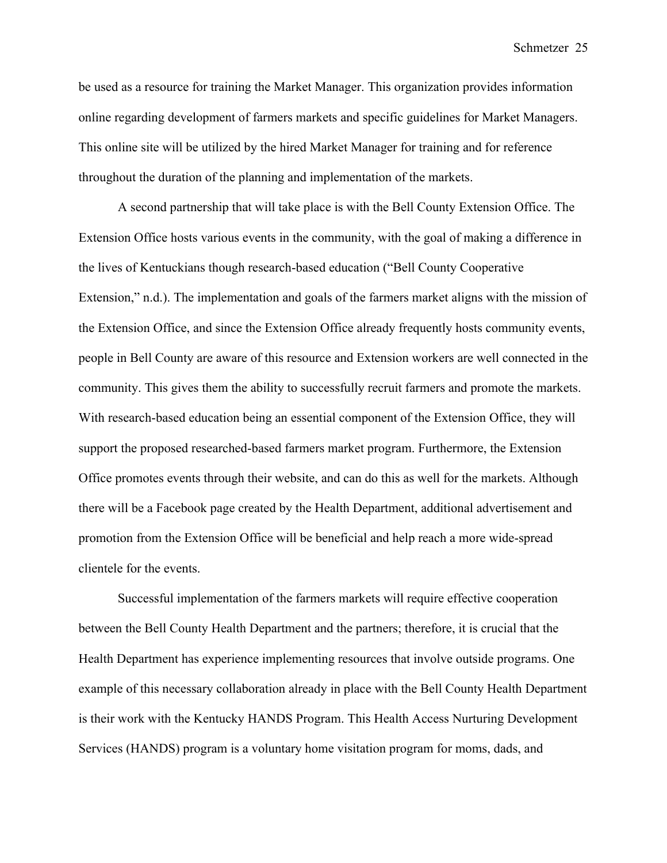be used as a resource for training the Market Manager. This organization provides information online regarding development of farmers markets and specific guidelines for Market Managers. This online site will be utilized by the hired Market Manager for training and for reference throughout the duration of the planning and implementation of the markets.

A second partnership that will take place is with the Bell County Extension Office. The Extension Office hosts various events in the community, with the goal of making a difference in the lives of Kentuckians though research-based education ("Bell County Cooperative Extension," n.d.). The implementation and goals of the farmers market aligns with the mission of the Extension Office, and since the Extension Office already frequently hosts community events, people in Bell County are aware of this resource and Extension workers are well connected in the community. This gives them the ability to successfully recruit farmers and promote the markets. With research-based education being an essential component of the Extension Office, they will support the proposed researched-based farmers market program. Furthermore, the Extension Office promotes events through their website, and can do this as well for the markets. Although there will be a Facebook page created by the Health Department, additional advertisement and promotion from the Extension Office will be beneficial and help reach a more wide-spread clientele for the events.

Successful implementation of the farmers markets will require effective cooperation between the Bell County Health Department and the partners; therefore, it is crucial that the Health Department has experience implementing resources that involve outside programs. One example of this necessary collaboration already in place with the Bell County Health Department is their work with the Kentucky HANDS Program. This Health Access Nurturing Development Services (HANDS) program is a voluntary home visitation program for moms, dads, and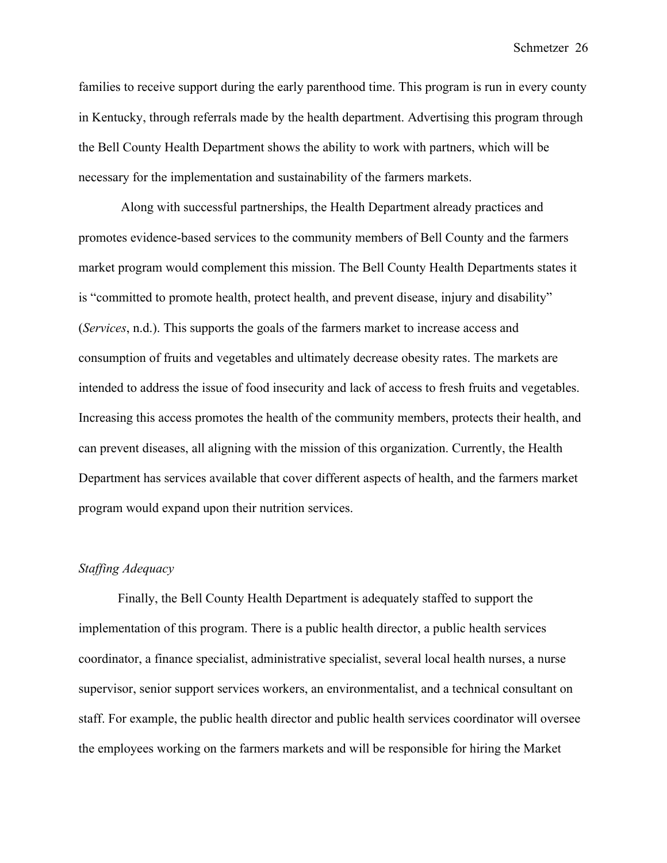families to receive support during the early parenthood time. This program is run in every county in Kentucky, through referrals made by the health department. Advertising this program through the Bell County Health Department shows the ability to work with partners, which will be necessary for the implementation and sustainability of the farmers markets.

Along with successful partnerships, the Health Department already practices and promotes evidence-based services to the community members of Bell County and the farmers market program would complement this mission. The Bell County Health Departments states it is "committed to promote health, protect health, and prevent disease, injury and disability" (*Services*, n.d.). This supports the goals of the farmers market to increase access and consumption of fruits and vegetables and ultimately decrease obesity rates. The markets are intended to address the issue of food insecurity and lack of access to fresh fruits and vegetables. Increasing this access promotes the health of the community members, protects their health, and can prevent diseases, all aligning with the mission of this organization. Currently, the Health Department has services available that cover different aspects of health, and the farmers market program would expand upon their nutrition services.

## *Staffing Adequacy*

Finally, the Bell County Health Department is adequately staffed to support the implementation of this program. There is a public health director, a public health services coordinator, a finance specialist, administrative specialist, several local health nurses, a nurse supervisor, senior support services workers, an environmentalist, and a technical consultant on staff. For example, the public health director and public health services coordinator will oversee the employees working on the farmers markets and will be responsible for hiring the Market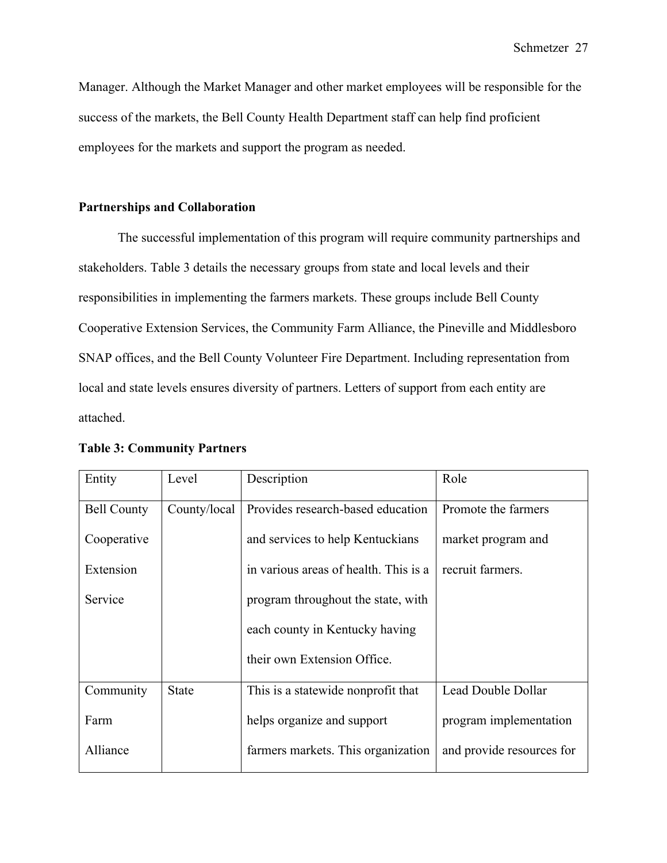Manager. Although the Market Manager and other market employees will be responsible for the success of the markets, the Bell County Health Department staff can help find proficient employees for the markets and support the program as needed.

### **Partnerships and Collaboration**

The successful implementation of this program will require community partnerships and stakeholders. Table 3 details the necessary groups from state and local levels and their responsibilities in implementing the farmers markets. These groups include Bell County Cooperative Extension Services, the Community Farm Alliance, the Pineville and Middlesboro SNAP offices, and the Bell County Volunteer Fire Department. Including representation from local and state levels ensures diversity of partners. Letters of support from each entity are attached.

| Entity             | Level        | Description                           | Role                      |
|--------------------|--------------|---------------------------------------|---------------------------|
| <b>Bell County</b> | County/local | Provides research-based education     | Promote the farmers       |
| Cooperative        |              | and services to help Kentuckians      | market program and        |
| Extension          |              | in various areas of health. This is a | recruit farmers.          |
| Service            |              | program throughout the state, with    |                           |
|                    |              | each county in Kentucky having        |                           |
|                    |              | their own Extension Office.           |                           |
| Community          | <b>State</b> | This is a statewide nonprofit that    | Lead Double Dollar        |
| Farm               |              | helps organize and support            | program implementation    |
| Alliance           |              | farmers markets. This organization    | and provide resources for |

#### **Table 3: Community Partners**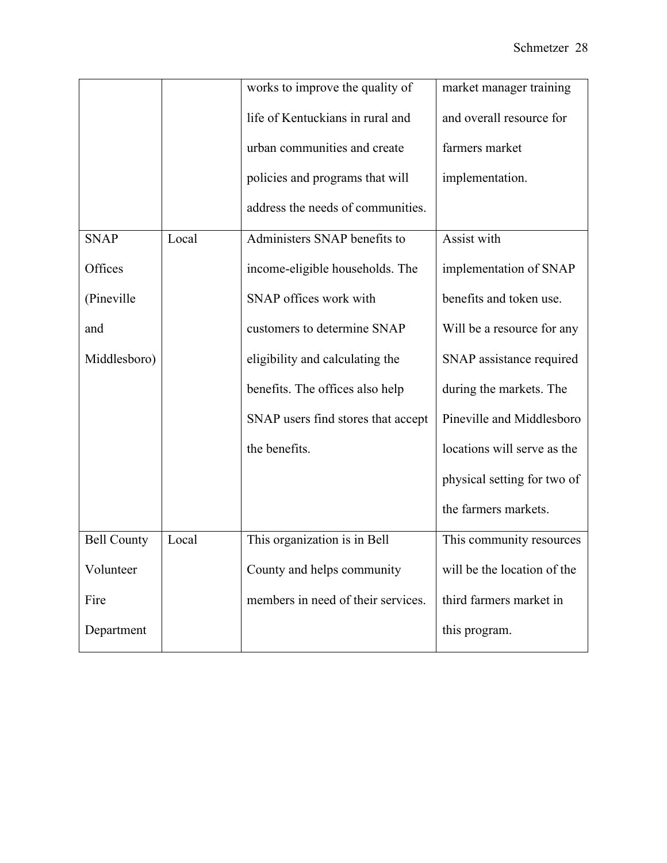|                    |       | works to improve the quality of    | market manager training     |
|--------------------|-------|------------------------------------|-----------------------------|
|                    |       | life of Kentuckians in rural and   | and overall resource for    |
|                    |       | urban communities and create       | farmers market              |
|                    |       | policies and programs that will    | implementation.             |
|                    |       | address the needs of communities.  |                             |
| <b>SNAP</b>        | Local | Administers SNAP benefits to       | Assist with                 |
| Offices            |       | income-eligible households. The    | implementation of SNAP      |
| (Pineville)        |       | SNAP offices work with             | benefits and token use.     |
| and                |       | customers to determine SNAP        | Will be a resource for any  |
| Middlesboro)       |       | eligibility and calculating the    | SNAP assistance required    |
|                    |       | benefits. The offices also help    | during the markets. The     |
|                    |       | SNAP users find stores that accept | Pineville and Middlesboro   |
|                    |       | the benefits.                      | locations will serve as the |
|                    |       |                                    | physical setting for two of |
|                    |       |                                    | the farmers markets.        |
| <b>Bell County</b> | Local | This organization is in Bell       | This community resources    |
| Volunteer          |       | County and helps community         | will be the location of the |
| Fire               |       | members in need of their services. | third farmers market in     |
| Department         |       |                                    | this program.               |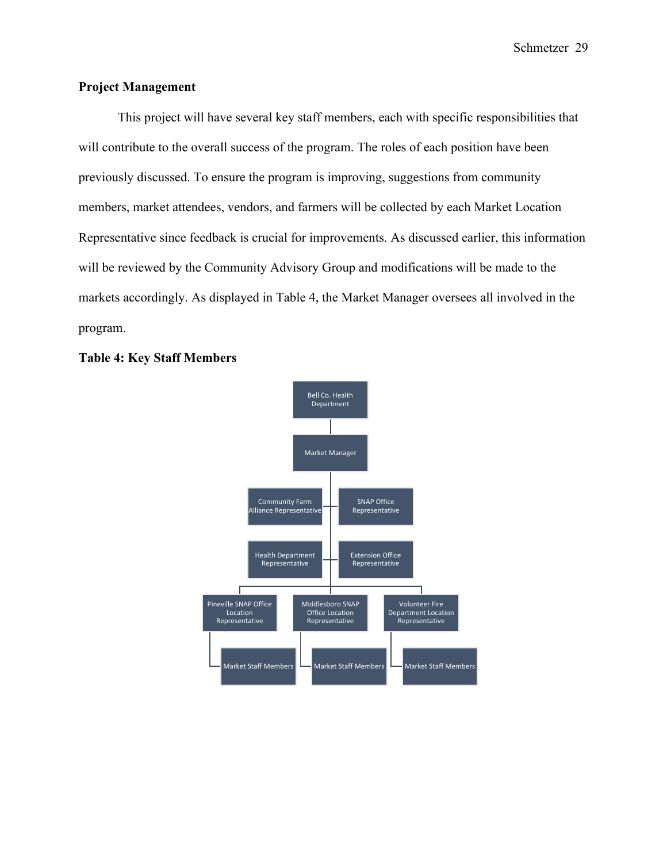# **Project Management**

This project will have several key staff members, each with specific responsibilities that will contribute to the overall success of the program. The roles of each position have been previously discussed. To ensure the program is improving, suggestions from community members, market attendees, vendors, and farmers will be collected by each Market Location Representative since feedback is crucial for improvements. As discussed earlier, this information will be reviewed by the Community Advisory Group and modifications will be made to the markets accordingly. As displayed in Table 4, the Market Manager oversees all involved in the program.



#### **Table 4: Key Staff Members**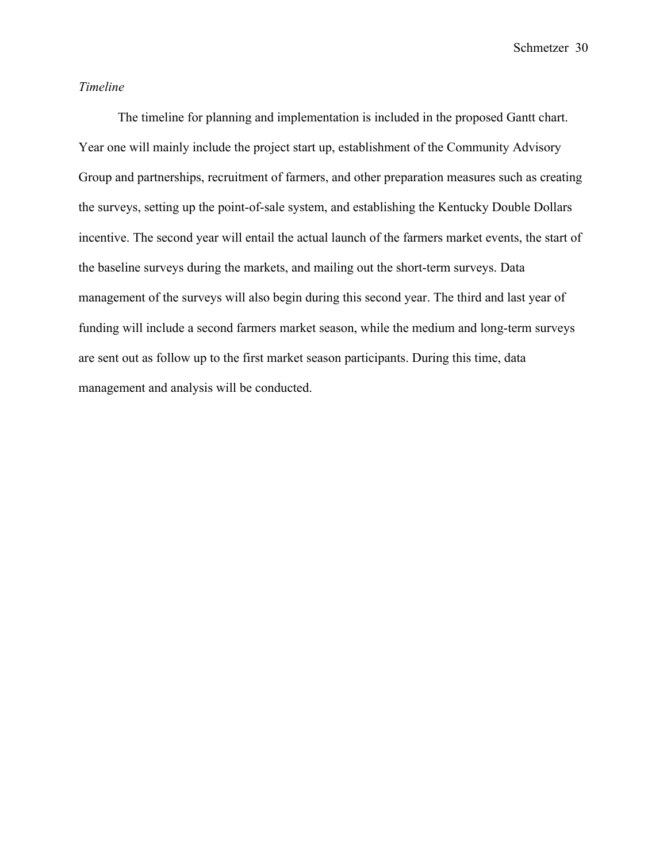### *Timeline*

The timeline for planning and implementation is included in the proposed Gantt chart. Year one will mainly include the project start up, establishment of the Community Advisory Group and partnerships, recruitment of farmers, and other preparation measures such as creating the surveys, setting up the point-of-sale system, and establishing the Kentucky Double Dollars incentive. The second year will entail the actual launch of the farmers market events, the start of the baseline surveys during the markets, and mailing out the short-term surveys. Data management of the surveys will also begin during this second year. The third and last year of funding will include a second farmers market season, while the medium and long-term surveys are sent out as follow up to the first market season participants. During this time, data management and analysis will be conducted.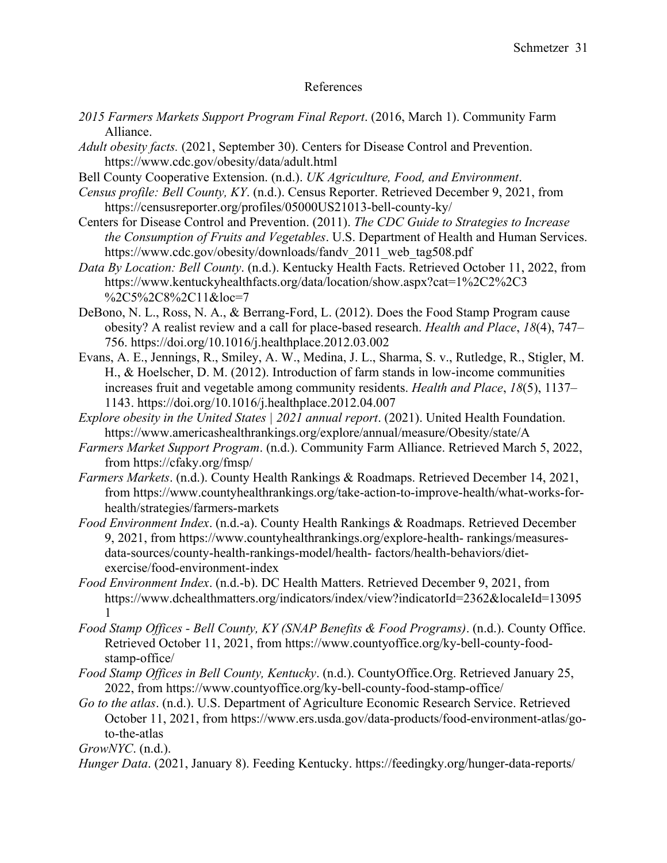# References

- *2015 Farmers Markets Support Program Final Report*. (2016, March 1). Community Farm Alliance.
- *Adult obesity facts.* (2021, September 30). Centers for Disease Control and Prevention. https://www.cdc.gov/obesity/data/adult.html
- Bell County Cooperative Extension. (n.d.). *UK Agriculture, Food, and Environment*.
- *Census profile: Bell County, KY*. (n.d.). Census Reporter. Retrieved December 9, 2021, from https://censusreporter.org/profiles/05000US21013-bell-county-ky/
- Centers for Disease Control and Prevention. (2011). *The CDC Guide to Strategies to Increase the Consumption of Fruits and Vegetables*. U.S. Department of Health and Human Services. https://www.cdc.gov/obesity/downloads/fandv 2011 web tag508.pdf
- *Data By Location: Bell County*. (n.d.). Kentucky Health Facts. Retrieved October 11, 2022, from https://www.kentuckyhealthfacts.org/data/location/show.aspx?cat=1%2C2%2C3 %2C5%2C8%2C11&loc=7
- DeBono, N. L., Ross, N. A., & Berrang-Ford, L. (2012). Does the Food Stamp Program cause obesity? A realist review and a call for place-based research. *Health and Place*, *18*(4), 747– 756. https://doi.org/10.1016/j.healthplace.2012.03.002
- Evans, A. E., Jennings, R., Smiley, A. W., Medina, J. L., Sharma, S. v., Rutledge, R., Stigler, M. H., & Hoelscher, D. M. (2012). Introduction of farm stands in low-income communities increases fruit and vegetable among community residents. *Health and Place*, *18*(5), 1137– 1143. https://doi.org/10.1016/j.healthplace.2012.04.007
- *Explore obesity in the United States | 2021 annual report*. (2021). United Health Foundation. https://www.americashealthrankings.org/explore/annual/measure/Obesity/state/A
- *Farmers Market Support Program*. (n.d.). Community Farm Alliance. Retrieved March 5, 2022, from https://cfaky.org/fmsp/
- *Farmers Markets*. (n.d.). County Health Rankings & Roadmaps. Retrieved December 14, 2021, from https://www.countyhealthrankings.org/take-action-to-improve-health/what-works-forhealth/strategies/farmers-markets
- *Food Environment Index*. (n.d.-a). County Health Rankings & Roadmaps. Retrieved December 9, 2021, from https://www.countyhealthrankings.org/explore-health- rankings/measuresdata-sources/county-health-rankings-model/health- factors/health-behaviors/dietexercise/food-environment-index
- *Food Environment Index*. (n.d.-b). DC Health Matters. Retrieved December 9, 2021, from https://www.dchealthmatters.org/indicators/index/view?indicatorId=2362&localeId=13095 1
- *Food Stamp Offices - Bell County, KY (SNAP Benefits & Food Programs)*. (n.d.). County Office. Retrieved October 11, 2021, from https://www.countyoffice.org/ky-bell-county-foodstamp-office/
- *Food Stamp Offices in Bell County, Kentucky*. (n.d.). CountyOffice.Org. Retrieved January 25, 2022, from https://www.countyoffice.org/ky-bell-county-food-stamp-office/
- *Go to the atlas*. (n.d.). U.S. Department of Agriculture Economic Research Service. Retrieved October 11, 2021, from https://www.ers.usda.gov/data-products/food-environment-atlas/goto-the-atlas

*GrowNYC*. (n.d.).

*Hunger Data*. (2021, January 8). Feeding Kentucky. https://feedingky.org/hunger-data-reports/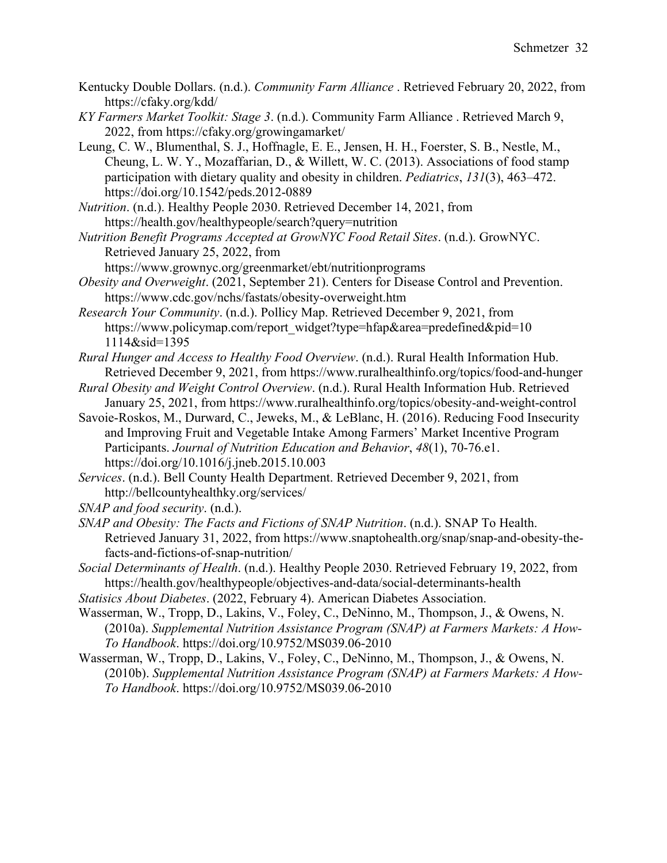- Kentucky Double Dollars. (n.d.). *Community Farm Alliance* . Retrieved February 20, 2022, from https://cfaky.org/kdd/
- *KY Farmers Market Toolkit: Stage 3*. (n.d.). Community Farm Alliance . Retrieved March 9, 2022, from https://cfaky.org/growingamarket/
- Leung, C. W., Blumenthal, S. J., Hoffnagle, E. E., Jensen, H. H., Foerster, S. B., Nestle, M., Cheung, L. W. Y., Mozaffarian, D., & Willett, W. C. (2013). Associations of food stamp participation with dietary quality and obesity in children. *Pediatrics*, *131*(3), 463–472. https://doi.org/10.1542/peds.2012-0889
- *Nutrition*. (n.d.). Healthy People 2030. Retrieved December 14, 2021, from https://health.gov/healthypeople/search?query=nutrition
- *Nutrition Benefit Programs Accepted at GrowNYC Food Retail Sites*. (n.d.). GrowNYC. Retrieved January 25, 2022, from
	- https://www.grownyc.org/greenmarket/ebt/nutritionprograms
- *Obesity and Overweight*. (2021, September 21). Centers for Disease Control and Prevention. https://www.cdc.gov/nchs/fastats/obesity-overweight.htm
- *Research Your Community*. (n.d.). Pollicy Map. Retrieved December 9, 2021, from https://www.policymap.com/report\_widget?type=hfap&area=predefined&pid=10 1114&sid=1395
- *Rural Hunger and Access to Healthy Food Overview*. (n.d.). Rural Health Information Hub. Retrieved December 9, 2021, from https://www.ruralhealthinfo.org/topics/food-and-hunger
- *Rural Obesity and Weight Control Overview*. (n.d.). Rural Health Information Hub. Retrieved January 25, 2021, from https://www.ruralhealthinfo.org/topics/obesity-and-weight-control
- Savoie-Roskos, M., Durward, C., Jeweks, M., & LeBlanc, H. (2016). Reducing Food Insecurity and Improving Fruit and Vegetable Intake Among Farmers' Market Incentive Program Participants. *Journal of Nutrition Education and Behavior*, *48*(1), 70-76.e1. https://doi.org/10.1016/j.jneb.2015.10.003
- *Services*. (n.d.). Bell County Health Department. Retrieved December 9, 2021, from http://bellcountyhealthky.org/services/

*SNAP and food security*. (n.d.).

- *SNAP and Obesity: The Facts and Fictions of SNAP Nutrition*. (n.d.). SNAP To Health. Retrieved January 31, 2022, from https://www.snaptohealth.org/snap/snap-and-obesity-thefacts-and-fictions-of-snap-nutrition/
- *Social Determinants of Health*. (n.d.). Healthy People 2030. Retrieved February 19, 2022, from https://health.gov/healthypeople/objectives-and-data/social-determinants-health
- *Statisics About Diabetes*. (2022, February 4). American Diabetes Association.
- Wasserman, W., Tropp, D., Lakins, V., Foley, C., DeNinno, M., Thompson, J., & Owens, N. (2010a). *Supplemental Nutrition Assistance Program (SNAP) at Farmers Markets: A How-To Handbook*. https://doi.org/10.9752/MS039.06-2010
- Wasserman, W., Tropp, D., Lakins, V., Foley, C., DeNinno, M., Thompson, J., & Owens, N. (2010b). *Supplemental Nutrition Assistance Program (SNAP) at Farmers Markets: A How-To Handbook*. https://doi.org/10.9752/MS039.06-2010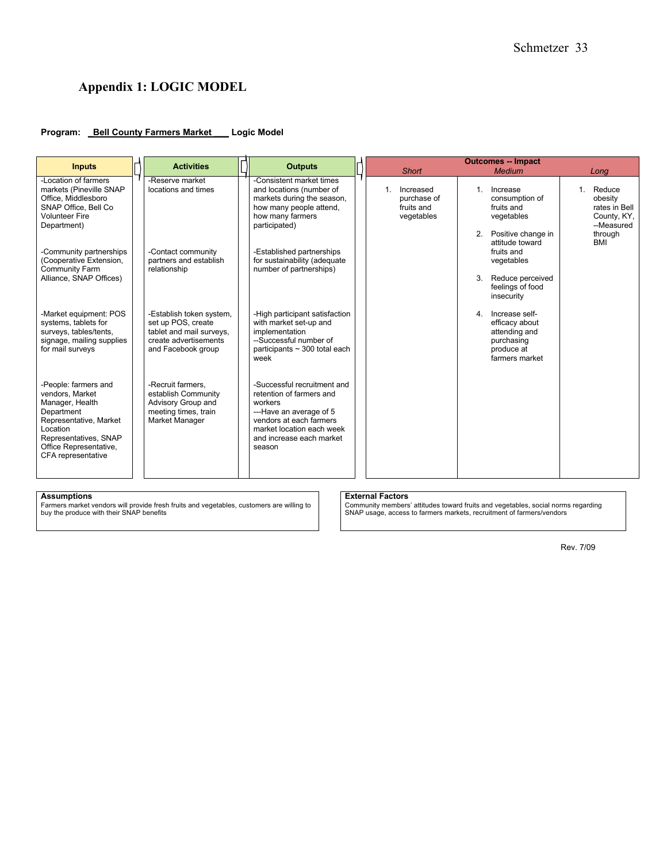# **Appendix 1: LOGIC MODEL**

#### **Program: \_Bell County Farmers Market \_\_\_ Logic Model**

| <b>Inputs</b>                                                                                                                                                                           | <b>Activities</b>                                                                                                         | <b>Outputs</b>                                                                                                                                                                              |                                                                      | <b>Outcomes -- Impact</b>                                                                             |                                                                               |
|-----------------------------------------------------------------------------------------------------------------------------------------------------------------------------------------|---------------------------------------------------------------------------------------------------------------------------|---------------------------------------------------------------------------------------------------------------------------------------------------------------------------------------------|----------------------------------------------------------------------|-------------------------------------------------------------------------------------------------------|-------------------------------------------------------------------------------|
|                                                                                                                                                                                         |                                                                                                                           |                                                                                                                                                                                             | <b>Short</b>                                                         | <b>Medium</b>                                                                                         | Long                                                                          |
| -Location of farmers<br>markets (Pineville SNAP<br>Office, Middlesboro<br>SNAP Office. Bell Co.<br><b>Volunteer Fire</b><br>Department)                                                 | -Reserve market<br>locations and times                                                                                    | -Consistent market times<br>and locations (number of<br>markets during the season,<br>how many people attend,<br>how many farmers<br>participated)                                          | Increased<br>$\mathbf{1}$<br>purchase of<br>fruits and<br>vegetables | $\mathbf{1}$ .<br>Increase<br>consumption of<br>fruits and<br>vegetables<br>Positive change in<br>2.  | 1. Reduce<br>obesity<br>rates in Bell<br>County, KY,<br>--Measured<br>through |
| -Community partnerships<br>(Cooperative Extension,<br>Community Farm<br>Alliance, SNAP Offices)                                                                                         | -Contact community<br>partners and establish<br>relationship                                                              | -Established partnerships<br>fruits and<br>for sustainability (adequate<br>vegetables<br>number of partnerships)<br>3.<br>insecurity                                                        | attitude toward<br>Reduce perceived<br>feelings of food              | <b>BMI</b>                                                                                            |                                                                               |
| -Market equipment: POS<br>systems, tablets for<br>surveys, tables/tents,<br>signage, mailing supplies<br>for mail surveys                                                               | -Establish token system,<br>set up POS, create<br>tablet and mail surveys,<br>create advertisements<br>and Facebook group | -High participant satisfaction<br>with market set-up and<br>implementation<br>--Successful number of<br>participants $\sim$ 300 total each<br>week                                          |                                                                      | Increase self-<br>4.<br>efficacy about<br>attending and<br>purchasing<br>produce at<br>farmers market |                                                                               |
| -People: farmers and<br>vendors, Market<br>Manager, Health<br>Department<br>Representative, Market<br>Location<br>Representatives, SNAP<br>Office Representative,<br>CFA representative | -Recruit farmers,<br>establish Community<br>Advisory Group and<br>meeting times, train<br>Market Manager                  | -Successful recruitment and<br>retention of farmers and<br>workers<br>---Have an average of 5<br>vendors at each farmers<br>market location each week<br>and increase each market<br>season |                                                                      |                                                                                                       |                                                                               |

**Assumptions External Factors** Farmers market vendors will provide fresh fruits and vegetables, customers are willing to buy the produce with their SNAP benefits

Community members' attitudes toward fruits and vegetables, social norms regarding SNAP usage, access to farmers markets, recruitment of farmers/vendors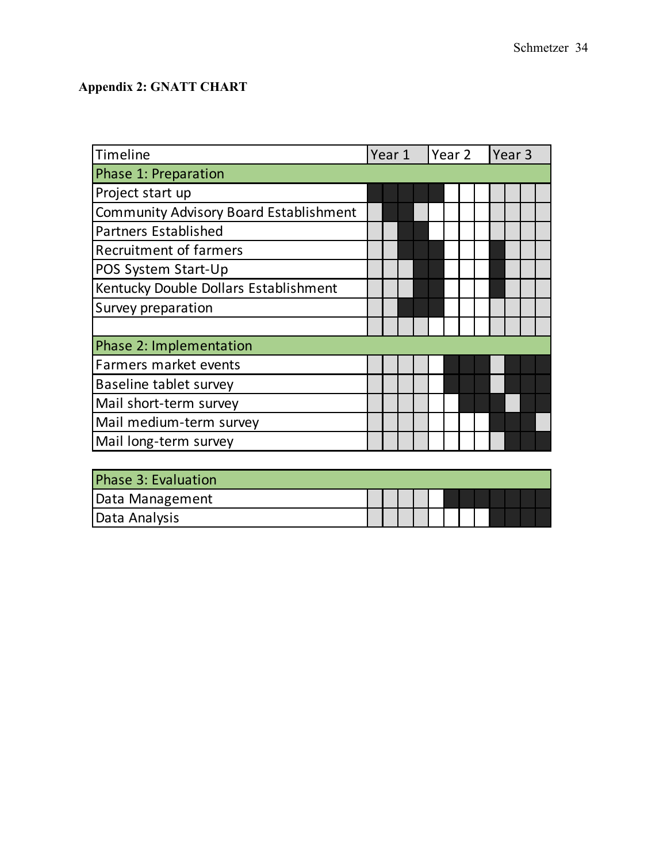# **Appendix 2: GNATT CHART**

| Timeline                                      | Year 1 |  | Year 2 |  |  |  | Year <sub>3</sub> |  |  |  |
|-----------------------------------------------|--------|--|--------|--|--|--|-------------------|--|--|--|
| Phase 1: Preparation                          |        |  |        |  |  |  |                   |  |  |  |
| Project start up                              |        |  |        |  |  |  |                   |  |  |  |
| <b>Community Advisory Board Establishment</b> |        |  |        |  |  |  |                   |  |  |  |
| <b>Partners Established</b>                   |        |  |        |  |  |  |                   |  |  |  |
| <b>Recruitment of farmers</b>                 |        |  |        |  |  |  |                   |  |  |  |
| POS System Start-Up                           |        |  |        |  |  |  |                   |  |  |  |
| Kentucky Double Dollars Establishment         |        |  |        |  |  |  |                   |  |  |  |
| Survey preparation                            |        |  |        |  |  |  |                   |  |  |  |
|                                               |        |  |        |  |  |  |                   |  |  |  |
| Phase 2: Implementation                       |        |  |        |  |  |  |                   |  |  |  |
| Farmers market events                         |        |  |        |  |  |  |                   |  |  |  |
| Baseline tablet survey                        |        |  |        |  |  |  |                   |  |  |  |
| Mail short-term survey                        |        |  |        |  |  |  |                   |  |  |  |
| Mail medium-term survey                       |        |  |        |  |  |  |                   |  |  |  |
| Mail long-term survey                         |        |  |        |  |  |  |                   |  |  |  |
|                                               |        |  |        |  |  |  |                   |  |  |  |
| <b>Phase 3: Evaluation</b>                    |        |  |        |  |  |  |                   |  |  |  |

| Phase 3: Evaluation |  |  |  |  |  |  |
|---------------------|--|--|--|--|--|--|
| Data Management     |  |  |  |  |  |  |
| Data Analysis       |  |  |  |  |  |  |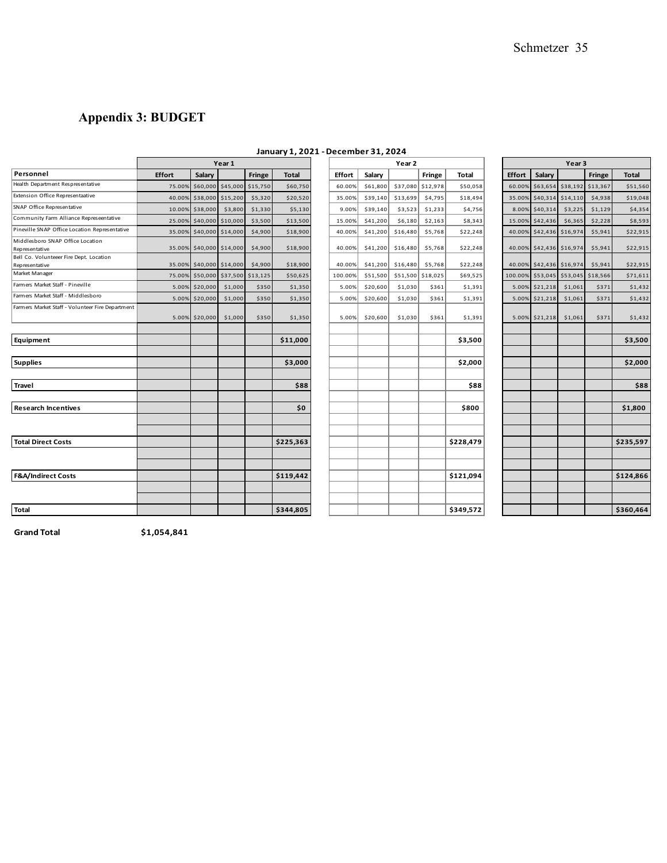# **Appendix 3: BUDGET**

|                                                           | Year 2<br>Year 1 |                |                          |               |              | Year <sub>3</sub> |          |          |                   |           |               |                          |                   |               |              |
|-----------------------------------------------------------|------------------|----------------|--------------------------|---------------|--------------|-------------------|----------|----------|-------------------|-----------|---------------|--------------------------|-------------------|---------------|--------------|
| Personnel                                                 | <b>Effort</b>    | Salary         |                          | <b>Fringe</b> | <b>Total</b> | <b>Effort</b>     | Salary   |          | <b>Fringe</b>     | Total     | <b>Effort</b> | Salary                   |                   | <b>Fringe</b> | <b>Total</b> |
| Health Department Respresentative                         | 75.00            | \$60,000       | \$45,000                 | \$15,750      | \$60,750     | 60.00%            | \$61,800 |          | \$37,080 \$12,978 | \$50.058  | 60.00%        |                          | \$63,654 \$38,192 | \$13,367      | \$51,560     |
| Extension Office Representaative                          | 40.00            | \$38,000       | \$15,200                 | \$5,320       | \$20,520     | 35.00%            | \$39,140 | \$13,699 | \$4,795           | \$18,494  |               | 35.00% \$40,314 \$14,110 |                   | \$4,938       | \$19,048     |
| SNAP Office Representative                                | 10.00            | \$38,000       | \$3,800                  | \$1,330       | \$5,130      | 9.00%             | \$39,140 | \$3,523  | \$1,233           | \$4,756   | 8.00%         | \$40,314                 | \$3,225           | \$1,129       | \$4,354      |
| Community Farm Alliance Represeentative                   | 25.00            | \$40,000       | \$10,000                 | \$3,500       | \$13,500     | 15.00%            | \$41,200 | \$6,180  | \$2,163           | \$8,343   | 15.00%        | \$42,436                 | \$6,365           | \$2,228       | \$8,593      |
| Pineville SNAP Office Location Representative             | 35.00%           | \$40,000       | \$14,000                 | \$4,900       | \$18,900     | 40.00%            | \$41,200 | \$16,480 | \$5,768           | \$22,248  |               | 40.00% \$42,436 \$16,974 |                   | \$5,941       | \$22,915     |
| Middlesboro SNAP Office Location<br>Representative        | 35.00%           |                | \$40,000 \$14,000        | \$4,900       | \$18,900     | 40.00%            | \$41,200 | \$16,480 | \$5,768           | \$22,248  |               | 40.00% \$42,436 \$16,974 |                   | \$5,941       | \$22,915     |
| Bell Co. Volunteeer Fire Dept. Location<br>Representative |                  |                | 35.00% \$40,000 \$14,000 | \$4,900       | \$18,900     | 40.00%            | \$41,200 | \$16,480 | \$5,768           | \$22,248  |               | 40.00% \$42,436 \$16,974 |                   | \$5,941       | \$22,915     |
| Market Manager                                            | 75.00            | \$50,000       | \$37,500                 | \$13,125      | \$50,625     | 100.00%           | \$51,500 |          | \$51,500 \$18,025 | \$69,525  |               | 100.00% \$53,045         | \$53,045          | \$18,566      | \$71,611     |
| Farmers Market Staff - Pineville                          | 5.00%            | \$20,000       | \$1,000                  | \$350         | \$1,350      | 5.00%             | \$20,600 | \$1,030  | \$361             | \$1,391   |               | 5.00% \$21,218           | \$1,061           | \$371         | \$1,432      |
| Farmers Market Staff - Middlesboro                        | 5.00%            | \$20,000       | \$1,000                  | \$350         | \$1,350      | 5.00%             | \$20,600 | \$1,030  | \$361             | \$1,391   |               | 5.00% \$21,218           | \$1,061           | \$371         | \$1,432      |
| Farmers Market Staff - Volunteer Fire Department          |                  | 5.00% \$20,000 | \$1,000                  | \$350         | \$1,350      | 5.00%             | \$20,600 | \$1,030  | \$361             | \$1,391   |               | 5.00% \$21,218           | \$1,061           | \$371         | \$1,432      |
|                                                           |                  |                |                          |               |              |                   |          |          |                   |           |               |                          |                   |               |              |
| Equipment                                                 |                  |                |                          |               | \$11,000     |                   |          |          |                   | \$3,500   |               |                          |                   |               | \$3,500      |
| <b>Supplies</b>                                           |                  |                |                          |               | \$3,000      |                   |          |          |                   | \$2,000   |               |                          |                   |               | \$2,000      |
|                                                           |                  |                |                          |               |              |                   |          |          |                   |           |               |                          |                   |               |              |
| Travel                                                    |                  |                |                          |               | \$88         |                   |          |          |                   | \$88      |               |                          |                   |               | \$88         |
| <b>Research Incentives</b>                                |                  |                |                          |               | \$0          |                   |          |          |                   | \$800     |               |                          |                   |               | \$1,800      |
|                                                           |                  |                |                          |               |              |                   |          |          |                   |           |               |                          |                   |               |              |
| <b>Total Direct Costs</b>                                 |                  |                |                          |               | \$225,363    |                   |          |          |                   | \$228,479 |               |                          |                   |               | \$235,597    |
|                                                           |                  |                |                          |               |              |                   |          |          |                   |           |               |                          |                   |               |              |
| <b>F&amp;A/Indirect Costs</b>                             |                  |                |                          |               | \$119,442    |                   |          |          |                   | \$121,094 |               |                          |                   |               | \$124,866    |
|                                                           |                  |                |                          |               |              |                   |          |          |                   |           |               |                          |                   |               |              |
| <b>Total</b>                                              |                  |                |                          |               | \$344,805    |                   |          |          |                   | \$349,572 |               |                          |                   |               | \$360,464    |

# **January 1, 2021 - December 31, 2024**

|       |                         |                   |                            | . .          |
|-------|-------------------------|-------------------|----------------------------|--------------|
|       |                         | Year 1            |                            |              |
|       | Salary                  |                   | Fringe                     | <b>Total</b> |
| 5.00% |                         |                   | \$60,000 \$45,000 \$15,750 | \$60,750     |
|       | 0.00% \$38,000 \$15,200 |                   | \$5,320                    | \$20,520     |
| 0.00% | \$38,000                | \$3,800           | \$1,330                    | \$5,130      |
| 5.00% |                         | \$40,000 \$10,000 | \$3,500                    | \$13,500     |
| 5.00% |                         | \$40,000 \$14,000 | \$4,900                    | \$18,900     |
|       | 5.00% \$40,000 \$14,000 |                   | \$4,900                    | \$18,900     |
|       | 5.00% \$40,000 \$14,000 |                   | \$4,900                    | \$18,900     |
| 5.00% |                         |                   | \$50,000 \$37,500 \$13,125 | \$50,625     |
| 5.00% | \$20,000                | \$1,000           | \$350                      | \$1,350      |
|       | 5.00% \$20,000          | \$1,000           | \$350                      | \$1,350      |
|       | 5.00% \$20,000          | \$1,000           | \$350                      | \$1,350      |
|       |                         |                   |                            | \$11,000     |
|       |                         |                   |                            |              |
|       |                         |                   |                            | \$3,000      |
|       |                         |                   |                            | \$88         |
|       |                         |                   |                            | \$0          |
|       |                         |                   |                            |              |
|       |                         |                   |                            | \$225,363    |
|       |                         |                   |                            |              |
|       |                         |                   |                            | \$119,442    |
|       |                         |                   |                            |              |
|       |                         |                   |                            | \$344,805    |

|               |                 | Year 3   |               |              |
|---------------|-----------------|----------|---------------|--------------|
| <b>Effort</b> | Salary          |          | <b>Fringe</b> | <b>Total</b> |
| 60.00%        | \$63,654        | \$38,192 | \$13,367      | \$51,560     |
|               | 35.00% \$40,314 | \$14,110 | \$4,938       | \$19,048     |
| 8.00%         | \$40,314        | \$3,225  | \$1,129       | \$4,354      |
| 15.00%        | \$42,436        | \$6,365  | \$2,228       | \$8,593      |
| 40.00%        | \$42,436        | \$16,974 | \$5,941       | \$22,915     |
| 40.00%        | \$42,436        | \$16,974 | \$5,941       | \$22,915     |
| 40.00%        | \$42,436        | \$16,974 | \$5,941       | \$22,915     |
| 100.00%       | \$53,045        | \$53,045 | \$18,566      | \$71,611     |
| 5.00%         | \$21,218        | \$1,061  | \$371         | \$1,432      |
|               | 5.00% \$21,218  | \$1,061  | \$371         | \$1,432      |
|               | 5.00% \$21,218  | \$1,061  | \$371         | \$1,432      |
|               |                 |          |               |              |
|               |                 |          |               | \$3,500      |
|               |                 |          |               |              |
|               |                 |          |               | \$2,000      |
|               |                 |          |               | \$88         |
|               |                 |          |               |              |
|               |                 |          |               | \$1,800      |
|               |                 |          |               |              |
|               |                 |          |               |              |
|               |                 |          |               | \$235,597    |
|               |                 |          |               |              |
|               |                 |          |               |              |
|               |                 |          |               | \$124,866    |
|               |                 |          |               |              |
|               |                 |          |               |              |
|               |                 |          |               | \$360.464    |

**Grand Total \$1,054,841**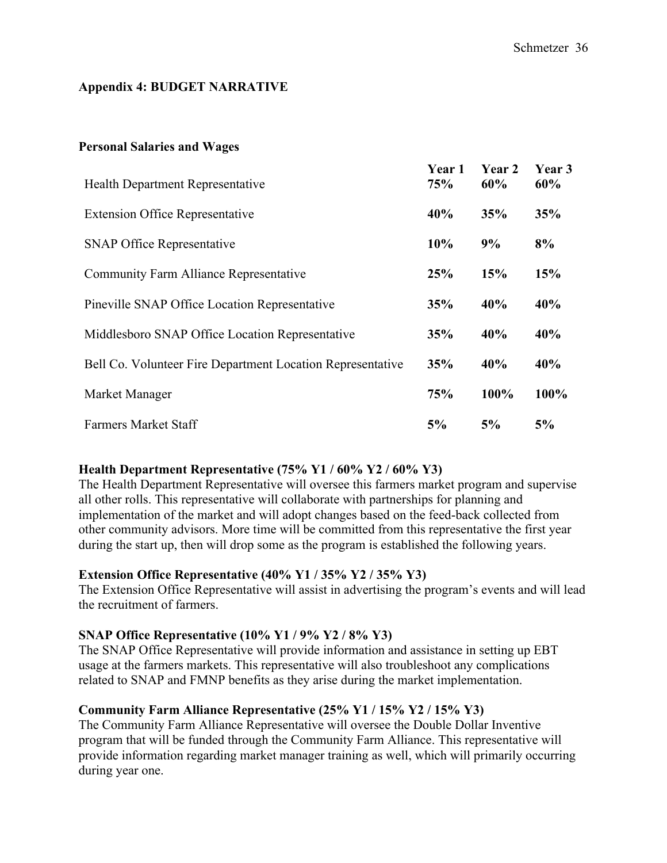# **Appendix 4: BUDGET NARRATIVE**

# **Personal Salaries and Wages**

| <b>Health Department Representative</b>                    | Year 1<br>75% | Year 2<br>60% | Year 3<br>60% |
|------------------------------------------------------------|---------------|---------------|---------------|
| <b>Extension Office Representative</b>                     | 40%           | 35%           | 35%           |
| <b>SNAP Office Representative</b>                          | 10%           | 9%            | 8%            |
| <b>Community Farm Alliance Representative</b>              | 25%           | 15%           | 15%           |
| Pineville SNAP Office Location Representative              | 35%           | 40%           | 40%           |
| Middlesboro SNAP Office Location Representative            | 35%           | 40%           | 40%           |
| Bell Co. Volunteer Fire Department Location Representative | 35%           | 40%           | 40%           |
| Market Manager                                             | 75%           | 100%          | 100%          |
| <b>Farmers Market Staff</b>                                | 5%            | 5%            | 5%            |

# **Health Department Representative (75% Y1 / 60% Y2 / 60% Y3)**

The Health Department Representative will oversee this farmers market program and supervise all other rolls. This representative will collaborate with partnerships for planning and implementation of the market and will adopt changes based on the feed-back collected from other community advisors. More time will be committed from this representative the first year during the start up, then will drop some as the program is established the following years.

# **Extension Office Representative (40% Y1 / 35% Y2 / 35% Y3)**

The Extension Office Representative will assist in advertising the program's events and will lead the recruitment of farmers.

# **SNAP Office Representative (10% Y1 / 9% Y2 / 8% Y3)**

The SNAP Office Representative will provide information and assistance in setting up EBT usage at the farmers markets. This representative will also troubleshoot any complications related to SNAP and FMNP benefits as they arise during the market implementation.

# **Community Farm Alliance Representative (25% Y1 / 15% Y2 / 15% Y3)**

The Community Farm Alliance Representative will oversee the Double Dollar Inventive program that will be funded through the Community Farm Alliance. This representative will provide information regarding market manager training as well, which will primarily occurring during year one.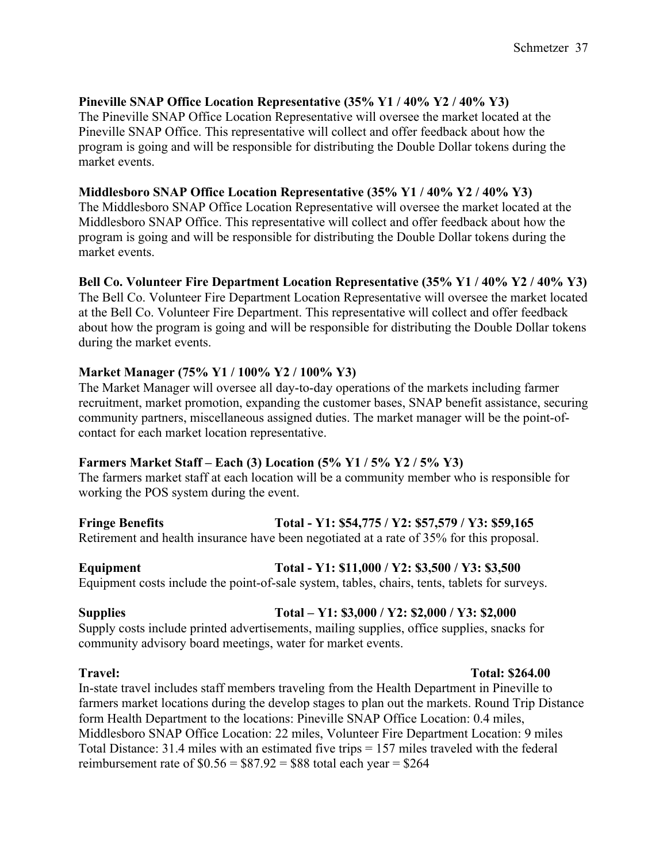# **Pineville SNAP Office Location Representative (35% Y1 / 40% Y2 / 40% Y3)**

The Pineville SNAP Office Location Representative will oversee the market located at the Pineville SNAP Office. This representative will collect and offer feedback about how the program is going and will be responsible for distributing the Double Dollar tokens during the market events.

# **Middlesboro SNAP Office Location Representative (35% Y1 / 40% Y2 / 40% Y3)**

The Middlesboro SNAP Office Location Representative will oversee the market located at the Middlesboro SNAP Office. This representative will collect and offer feedback about how the program is going and will be responsible for distributing the Double Dollar tokens during the market events.

# **Bell Co. Volunteer Fire Department Location Representative (35% Y1 / 40% Y2 / 40% Y3)**

The Bell Co. Volunteer Fire Department Location Representative will oversee the market located at the Bell Co. Volunteer Fire Department. This representative will collect and offer feedback about how the program is going and will be responsible for distributing the Double Dollar tokens during the market events.

# **Market Manager (75% Y1 / 100% Y2 / 100% Y3)**

The Market Manager will oversee all day-to-day operations of the markets including farmer recruitment, market promotion, expanding the customer bases, SNAP benefit assistance, securing community partners, miscellaneous assigned duties. The market manager will be the point-ofcontact for each market location representative.

# **Farmers Market Staff – Each (3) Location (5% Y1 / 5% Y2 / 5% Y3)**

The farmers market staff at each location will be a community member who is responsible for working the POS system during the event.

**Fringe Benefits Total - Y1: \$54,775 / Y2: \$57,579 / Y3: \$59,165** Retirement and health insurance have been negotiated at a rate of 35% for this proposal.

**Equipment Total - Y1: \$11,000 / Y2: \$3,500 / Y3: \$3,500**  Equipment costs include the point-of-sale system, tables, chairs, tents, tablets for surveys.

# **Supplies Total – Y1: \$3,000 / Y2: \$2,000 / Y3: \$2,000**

Supply costs include printed advertisements, mailing supplies, office supplies, snacks for community advisory board meetings, water for market events.

# **Travel: Total: \$264.00**

In-state travel includes staff members traveling from the Health Department in Pineville to farmers market locations during the develop stages to plan out the markets. Round Trip Distance form Health Department to the locations: Pineville SNAP Office Location: 0.4 miles, Middlesboro SNAP Office Location: 22 miles, Volunteer Fire Department Location: 9 miles Total Distance: 31.4 miles with an estimated five trips = 157 miles traveled with the federal reimbursement rate of  $$0.56 = $87.92 = $88$  total each year = \$264